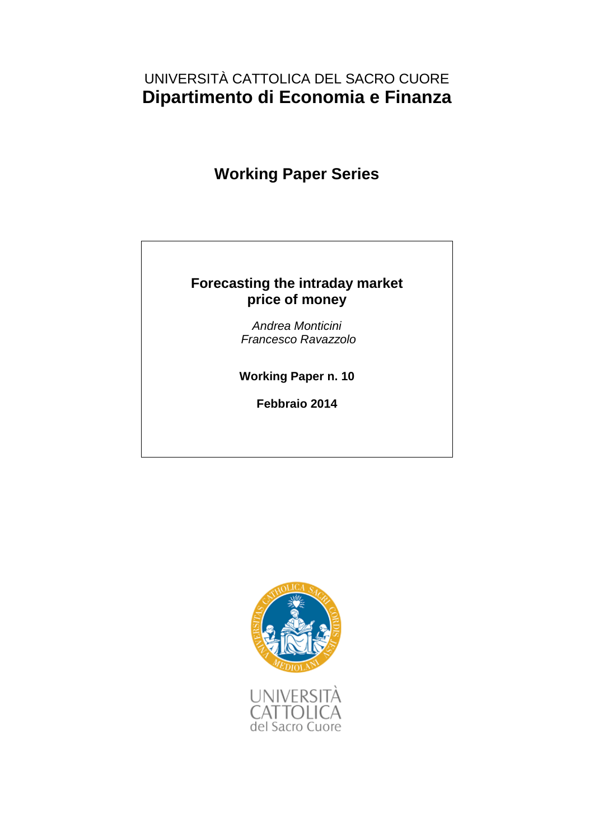## UNIVERSITÀ CATTOLICA DEL SACRO CUORE **Dipartimento di Economia e Finanza**

## **Working Paper Series**

## **Forecasting the intraday market price of money**

*Andrea Monticini Francesco Ravazzolo*

**Working Paper n. 10**

**Febbraio 2014**

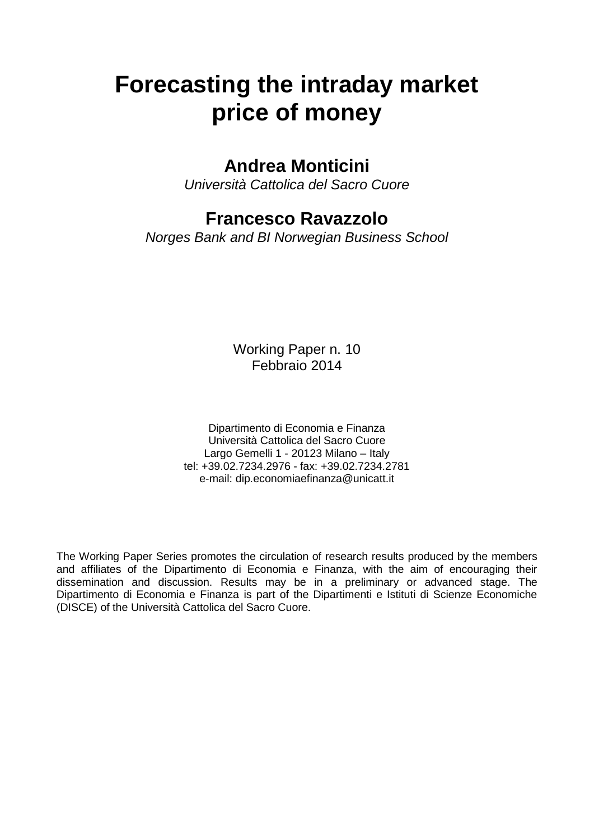# **Forecasting the intraday market price of money**

## **Andrea Monticini**

*Università Cattolica del Sacro Cuore*

## **Francesco Ravazzolo**

*Norges Bank and BI Norwegian Business School*

Working Paper n. 10 Febbraio 2014

Dipartimento di Economia e Finanza Università Cattolica del Sacro Cuore Largo Gemelli 1 - 20123 Milano – Italy tel: +39.02.7234.2976 - fax: +39.02.7234.2781 e-mail: dip.economiaefinanza@unicatt.it

The Working Paper Series promotes the circulation of research results produced by the members and affiliates of the Dipartimento di Economia e Finanza, with the aim of encouraging their dissemination and discussion. Results may be in a preliminary or advanced stage. The Dipartimento di Economia e Finanza is part of the Dipartimenti e Istituti di Scienze Economiche (DISCE) of the Università Cattolica del Sacro Cuore.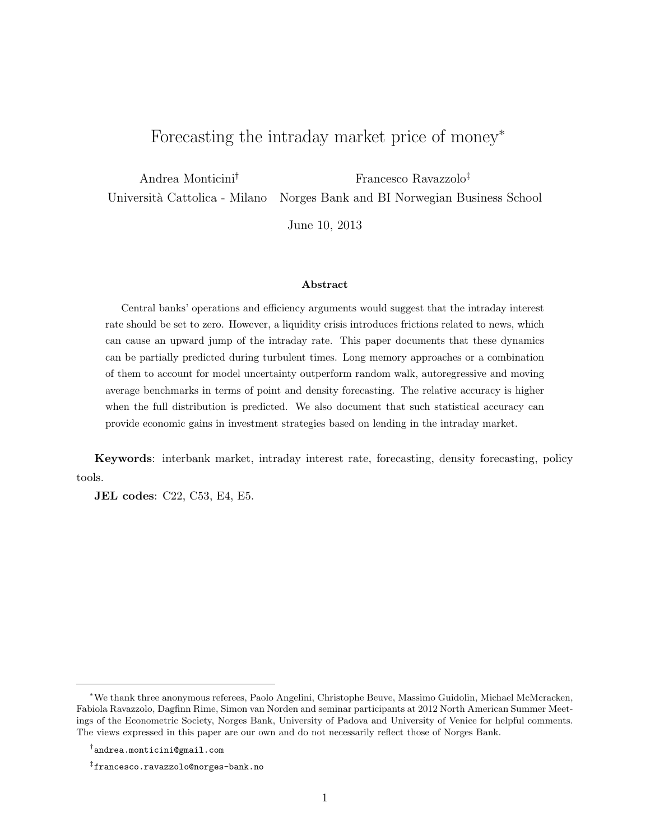## Forecasting the intraday market price of money<sup>∗</sup>

Andrea Monticini<sup>†</sup> Francesco Ravazzolo<sup>‡</sup> Universit`a Cattolica - Milano Norges Bank and BI Norwegian Business School

June 10, 2013

#### Abstract

Central banks' operations and efficiency arguments would suggest that the intraday interest rate should be set to zero. However, a liquidity crisis introduces frictions related to news, which can cause an upward jump of the intraday rate. This paper documents that these dynamics can be partially predicted during turbulent times. Long memory approaches or a combination of them to account for model uncertainty outperform random walk, autoregressive and moving average benchmarks in terms of point and density forecasting. The relative accuracy is higher when the full distribution is predicted. We also document that such statistical accuracy can provide economic gains in investment strategies based on lending in the intraday market.

Keywords: interbank market, intraday interest rate, forecasting, density forecasting, policy tools.

JEL codes: C22, C53, E4, E5.

<sup>∗</sup>We thank three anonymous referees, Paolo Angelini, Christophe Beuve, Massimo Guidolin, Michael McMcracken, Fabiola Ravazzolo, Dagfinn Rime, Simon van Norden and seminar participants at 2012 North American Summer Meetings of the Econometric Society, Norges Bank, University of Padova and University of Venice for helpful comments. The views expressed in this paper are our own and do not necessarily reflect those of Norges Bank.

<sup>†</sup> andrea.monticini@gmail.com

<sup>‡</sup> francesco.ravazzolo@norges-bank.no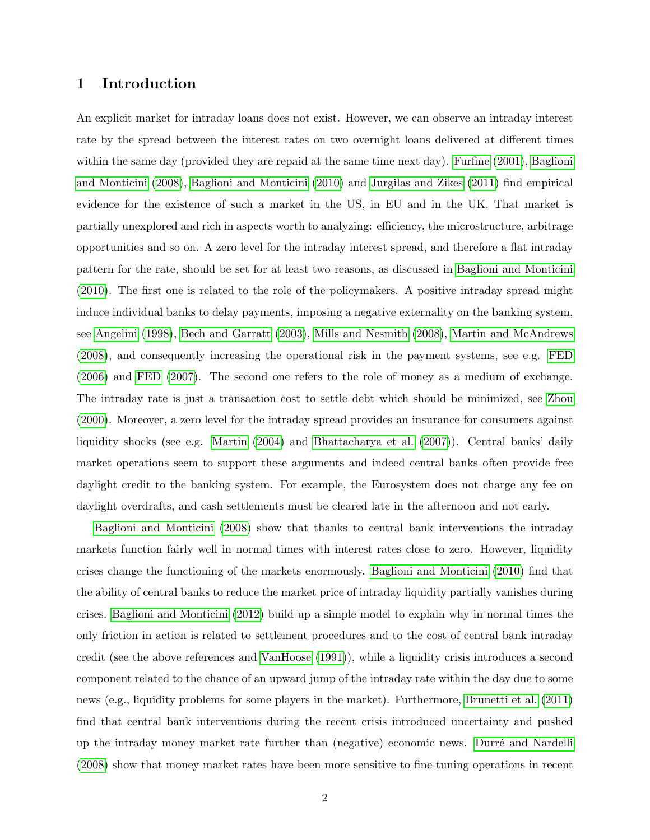### 1 Introduction

An explicit market for intraday loans does not exist. However, we can observe an intraday interest rate by the spread between the interest rates on two overnight loans delivered at different times within the same day (provided they are repaid at the same time next day). [Furfine](#page-21-0) [\(2001\)](#page-21-0), [Baglioni](#page-19-0) [and Monticini](#page-19-0) [\(2008\)](#page-19-0), [Baglioni and Monticini](#page-19-1) [\(2010\)](#page-19-1) and [Jurgilas and Zikes](#page-21-1) [\(2011\)](#page-21-1) find empirical evidence for the existence of such a market in the US, in EU and in the UK. That market is partially unexplored and rich in aspects worth to analyzing: efficiency, the microstructure, arbitrage opportunities and so on. A zero level for the intraday interest spread, and therefore a flat intraday pattern for the rate, should be set for at least two reasons, as discussed in [Baglioni and Monticini](#page-19-1) [\(2010\)](#page-19-1). The first one is related to the role of the policymakers. A positive intraday spread might induce individual banks to delay payments, imposing a negative externality on the banking system, see [Angelini](#page-19-2) [\(1998\)](#page-19-2), [Bech and Garratt](#page-19-3) [\(2003\)](#page-19-3), [Mills and Nesmith](#page-22-0) [\(2008\)](#page-22-0), [Martin and McAndrews](#page-22-1) [\(2008\)](#page-22-1), and consequently increasing the operational risk in the payment systems, see e.g. [FED](#page-21-2) [\(2006\)](#page-21-2) and [FED](#page-21-3) [\(2007\)](#page-21-3). The second one refers to the role of money as a medium of exchange. The intraday rate is just a transaction cost to settle debt which should be minimized, see [Zhou](#page-23-0) [\(2000\)](#page-23-0). Moreover, a zero level for the intraday spread provides an insurance for consumers against liquidity shocks (see e.g. [Martin](#page-22-2) [\(2004\)](#page-22-2) and [Bhattacharya et al.](#page-20-0) [\(2007\)](#page-20-0)). Central banks' daily market operations seem to support these arguments and indeed central banks often provide free daylight credit to the banking system. For example, the Eurosystem does not charge any fee on daylight overdrafts, and cash settlements must be cleared late in the afternoon and not early.

[Baglioni and Monticini](#page-19-0) [\(2008\)](#page-19-0) show that thanks to central bank interventions the intraday markets function fairly well in normal times with interest rates close to zero. However, liquidity crises change the functioning of the markets enormously. [Baglioni and Monticini](#page-19-1) [\(2010\)](#page-19-1) find that the ability of central banks to reduce the market price of intraday liquidity partially vanishes during crises. [Baglioni and Monticini](#page-19-4) [\(2012\)](#page-19-4) build up a simple model to explain why in normal times the only friction in action is related to settlement procedures and to the cost of central bank intraday credit (see the above references and [VanHoose](#page-23-1) [\(1991\)](#page-23-1)), while a liquidity crisis introduces a second component related to the chance of an upward jump of the intraday rate within the day due to some news (e.g., liquidity problems for some players in the market). Furthermore, [Brunetti et al.](#page-20-1) [\(2011\)](#page-20-1) find that central bank interventions during the recent crisis introduced uncertainty and pushed up the intraday money market rate further than (negative) economic news. Durré and Nardelli [\(2008\)](#page-20-2) show that money market rates have been more sensitive to fine-tuning operations in recent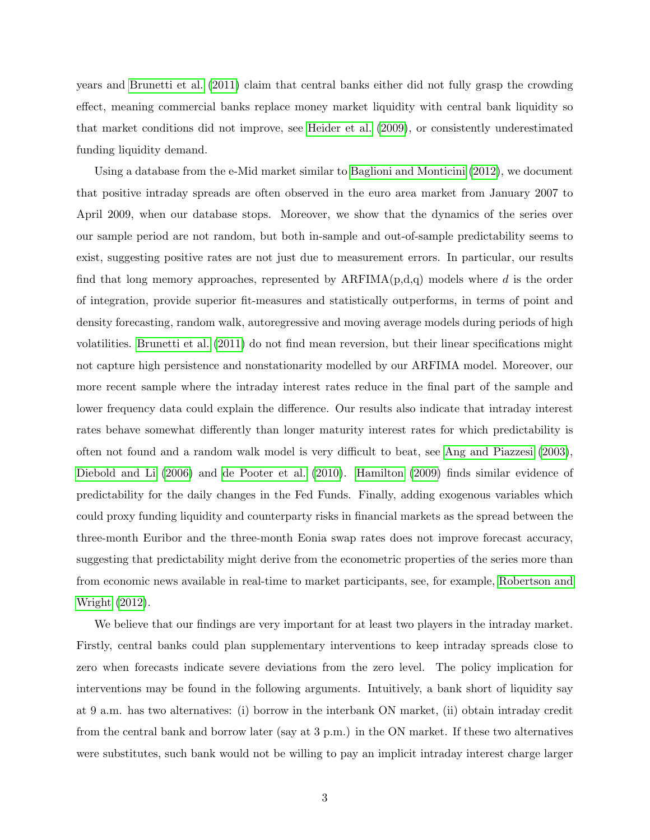years and [Brunetti et al.](#page-20-1) [\(2011\)](#page-20-1) claim that central banks either did not fully grasp the crowding effect, meaning commercial banks replace money market liquidity with central bank liquidity so that market conditions did not improve, see [Heider et al.](#page-21-4) [\(2009\)](#page-21-4), or consistently underestimated funding liquidity demand.

Using a database from the e-Mid market similar to [Baglioni and Monticini](#page-19-4) [\(2012\)](#page-19-4), we document that positive intraday spreads are often observed in the euro area market from January 2007 to April 2009, when our database stops. Moreover, we show that the dynamics of the series over our sample period are not random, but both in-sample and out-of-sample predictability seems to exist, suggesting positive rates are not just due to measurement errors. In particular, our results find that long memory approaches, represented by  $ARFIMA(p,d,q)$  models where d is the order of integration, provide superior fit-measures and statistically outperforms, in terms of point and density forecasting, random walk, autoregressive and moving average models during periods of high volatilities. [Brunetti et al.](#page-20-1) [\(2011\)](#page-20-1) do not find mean reversion, but their linear specifications might not capture high persistence and nonstationarity modelled by our ARFIMA model. Moreover, our more recent sample where the intraday interest rates reduce in the final part of the sample and lower frequency data could explain the difference. Our results also indicate that intraday interest rates behave somewhat differently than longer maturity interest rates for which predictability is often not found and a random walk model is very difficult to beat, see [Ang and Piazzesi](#page-19-5) [\(2003\)](#page-19-5), [Diebold and Li](#page-20-3) [\(2006\)](#page-20-3) and [de Pooter et al.](#page-20-4) [\(2010\)](#page-20-4). [Hamilton](#page-21-5) [\(2009\)](#page-21-5) finds similar evidence of predictability for the daily changes in the Fed Funds. Finally, adding exogenous variables which could proxy funding liquidity and counterparty risks in financial markets as the spread between the three-month Euribor and the three-month Eonia swap rates does not improve forecast accuracy, suggesting that predictability might derive from the econometric properties of the series more than from economic news available in real-time to market participants, see, for example, [Robertson and](#page-22-3) [Wright](#page-22-3) [\(2012\)](#page-22-3).

We believe that our findings are very important for at least two players in the intraday market. Firstly, central banks could plan supplementary interventions to keep intraday spreads close to zero when forecasts indicate severe deviations from the zero level. The policy implication for interventions may be found in the following arguments. Intuitively, a bank short of liquidity say at 9 a.m. has two alternatives: (i) borrow in the interbank ON market, (ii) obtain intraday credit from the central bank and borrow later (say at 3 p.m.) in the ON market. If these two alternatives were substitutes, such bank would not be willing to pay an implicit intraday interest charge larger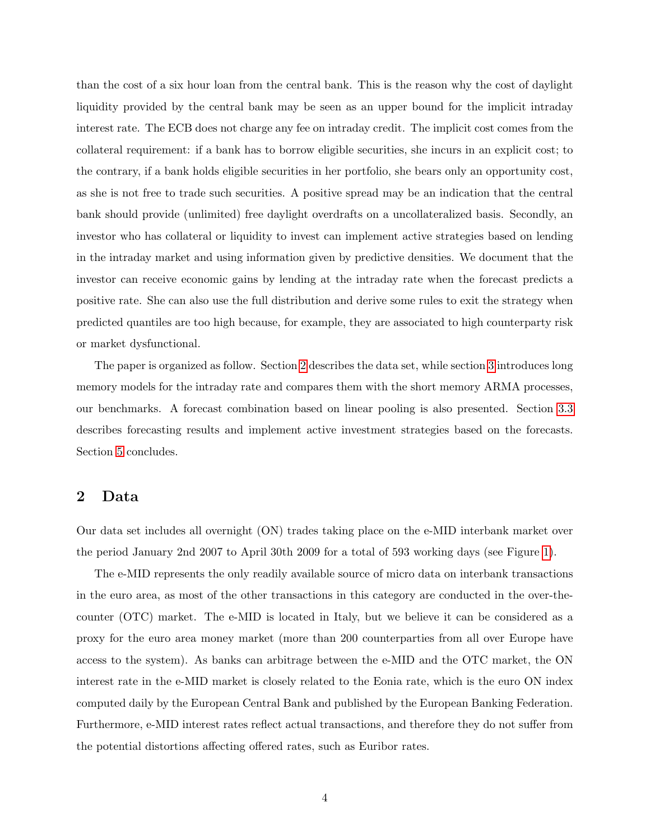than the cost of a six hour loan from the central bank. This is the reason why the cost of daylight liquidity provided by the central bank may be seen as an upper bound for the implicit intraday interest rate. The ECB does not charge any fee on intraday credit. The implicit cost comes from the collateral requirement: if a bank has to borrow eligible securities, she incurs in an explicit cost; to the contrary, if a bank holds eligible securities in her portfolio, she bears only an opportunity cost, as she is not free to trade such securities. A positive spread may be an indication that the central bank should provide (unlimited) free daylight overdrafts on a uncollateralized basis. Secondly, an investor who has collateral or liquidity to invest can implement active strategies based on lending in the intraday market and using information given by predictive densities. We document that the investor can receive economic gains by lending at the intraday rate when the forecast predicts a positive rate. She can also use the full distribution and derive some rules to exit the strategy when predicted quantiles are too high because, for example, they are associated to high counterparty risk or market dysfunctional.

The paper is organized as follow. Section [2](#page-5-0) describes the data set, while section [3](#page-7-0) introduces long memory models for the intraday rate and compares them with the short memory ARMA processes, our benchmarks. A forecast combination based on linear pooling is also presented. Section [3.3](#page-11-0) describes forecasting results and implement active investment strategies based on the forecasts. Section [5](#page-18-0) concludes.

### <span id="page-5-0"></span>2 Data

Our data set includes all overnight (ON) trades taking place on the e-MID interbank market over the period January 2nd 2007 to April 30th 2009 for a total of 593 working days (see Figure [1\)](#page-6-0).

The e-MID represents the only readily available source of micro data on interbank transactions in the euro area, as most of the other transactions in this category are conducted in the over-thecounter (OTC) market. The e-MID is located in Italy, but we believe it can be considered as a proxy for the euro area money market (more than 200 counterparties from all over Europe have access to the system). As banks can arbitrage between the e-MID and the OTC market, the ON interest rate in the e-MID market is closely related to the Eonia rate, which is the euro ON index computed daily by the European Central Bank and published by the European Banking Federation. Furthermore, e-MID interest rates reflect actual transactions, and therefore they do not suffer from the potential distortions affecting offered rates, such as Euribor rates.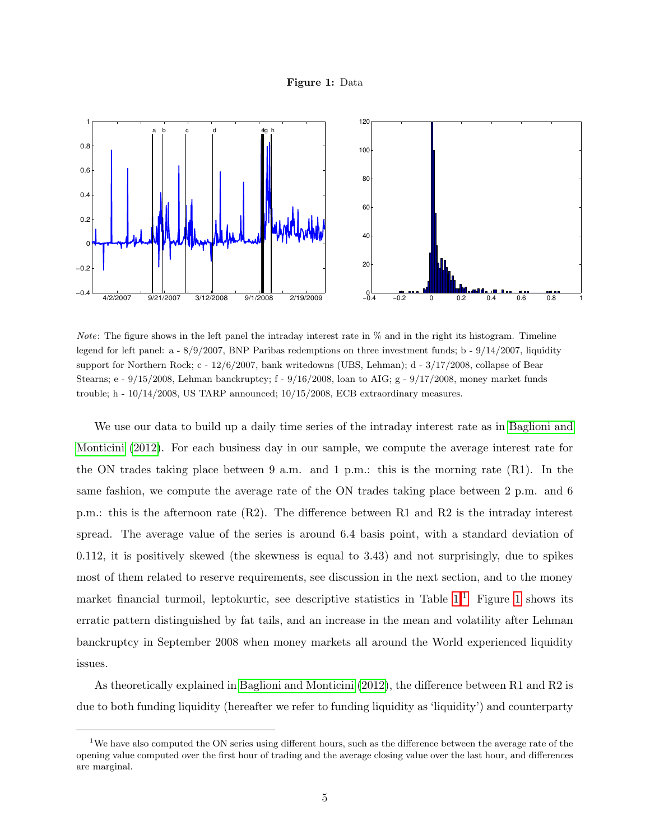#### Figure 1: Data

<span id="page-6-0"></span>

*Note*: The figure shows in the left panel the intraday interest rate in  $\%$  and in the right its histogram. Timeline legend for left panel: a - 8/9/2007, BNP Paribas redemptions on three investment funds; b - 9/14/2007, liquidity support for Northern Rock; c - 12/6/2007, bank writedowns (UBS, Lehman); d - 3/17/2008, collapse of Bear Stearns; e - 9/15/2008, Lehman banckruptcy; f - 9/16/2008, loan to AIG; g - 9/17/2008, money market funds trouble; h - 10/14/2008, US TARP announced; 10/15/2008, ECB extraordinary measures.

We use our data to build up a daily time series of the intraday interest rate as in [Baglioni and](#page-19-4) [Monticini](#page-19-4) [\(2012\)](#page-19-4). For each business day in our sample, we compute the average interest rate for the ON trades taking place between 9 a.m. and 1 p.m.: this is the morning rate  $(R1)$ . In the same fashion, we compute the average rate of the ON trades taking place between 2 p.m. and 6 p.m.: this is the afternoon rate (R2). The difference between R1 and R2 is the intraday interest spread. The average value of the series is around 6.4 basis point, with a standard deviation of 0.112, it is positively skewed (the skewness is equal to 3.43) and not surprisingly, due to spikes most of them related to reserve requirements, see discussion in the next section, and to the money market financial turmoil, leptokurtic, see descriptive statistics in Table  $1<sup>1</sup>$  $1<sup>1</sup>$  Figure [1](#page-6-0) shows its erratic pattern distinguished by fat tails, and an increase in the mean and volatility after Lehman banckruptcy in September 2008 when money markets all around the World experienced liquidity issues.

As theoretically explained in [Baglioni and Monticini](#page-19-4) [\(2012\)](#page-19-4), the difference between R1 and R2 is due to both funding liquidity (hereafter we refer to funding liquidity as 'liquidity') and counterparty

<span id="page-6-1"></span><sup>&</sup>lt;sup>1</sup>We have also computed the ON series using different hours, such as the difference between the average rate of the opening value computed over the first hour of trading and the average closing value over the last hour, and differences are marginal.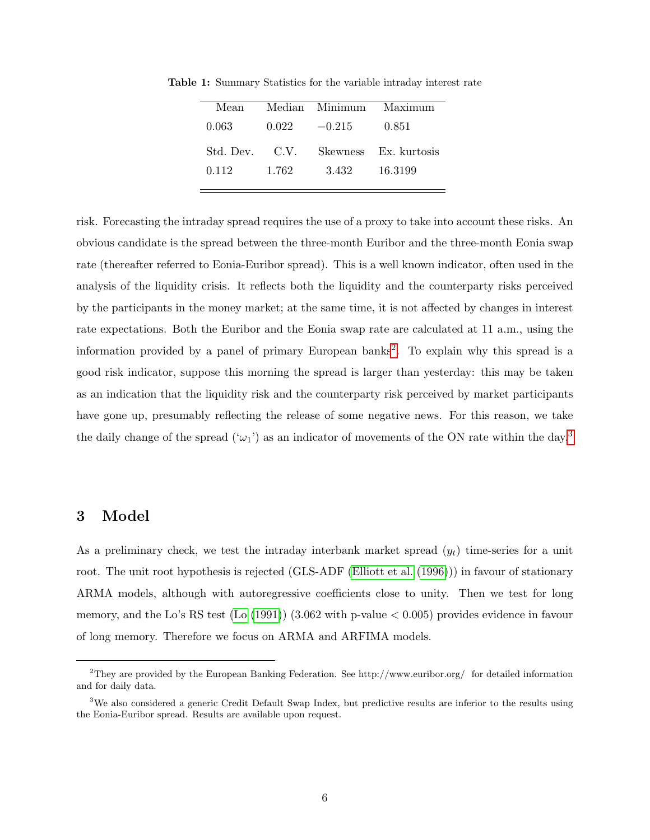| Mean           |       |          | Median Minimum Maximum |
|----------------|-------|----------|------------------------|
| 0.063          | 0.022 | $-0.215$ | 0.851                  |
| Std. Dev. C.V. |       |          | Skewness Ex. kurtosis  |
| 0.112          | 1.762 | 3.432    | 16.3199                |
|                |       |          |                        |

<span id="page-7-1"></span>Table 1: Summary Statistics for the variable intraday interest rate

risk. Forecasting the intraday spread requires the use of a proxy to take into account these risks. An obvious candidate is the spread between the three-month Euribor and the three-month Eonia swap rate (thereafter referred to Eonia-Euribor spread). This is a well known indicator, often used in the analysis of the liquidity crisis. It reflects both the liquidity and the counterparty risks perceived by the participants in the money market; at the same time, it is not affected by changes in interest rate expectations. Both the Euribor and the Eonia swap rate are calculated at 11 a.m., using the information provided by a panel of primary European banks<sup>[2](#page-7-2)</sup>. To explain why this spread is a good risk indicator, suppose this morning the spread is larger than yesterday: this may be taken as an indication that the liquidity risk and the counterparty risk perceived by market participants have gone up, presumably reflecting the release of some negative news. For this reason, we take the daily change of the spread  $(\omega_1)$  as an indicator of movements of the ON rate within the day.<sup>[3](#page-7-3)</sup>

### <span id="page-7-0"></span>3 Model

As a preliminary check, we test the intraday interbank market spread  $(y_t)$  time-series for a unit root. The unit root hypothesis is rejected (GLS-ADF [\(Elliott et al.](#page-20-5) [\(1996\)](#page-20-5))) in favour of stationary ARMA models, although with autoregressive coefficients close to unity. Then we test for long memory, and the Lo's RS test [\(Lo](#page-22-4) [\(1991\)](#page-22-4)) (3.062 with p-value  $< 0.005$ ) provides evidence in favour of long memory. Therefore we focus on ARMA and ARFIMA models.

<span id="page-7-2"></span><sup>2</sup>They are provided by the European Banking Federation. See http://www.euribor.org/ for detailed information and for daily data.

<span id="page-7-3"></span><sup>&</sup>lt;sup>3</sup>We also considered a generic Credit Default Swap Index, but predictive results are inferior to the results using the Eonia-Euribor spread. Results are available upon request.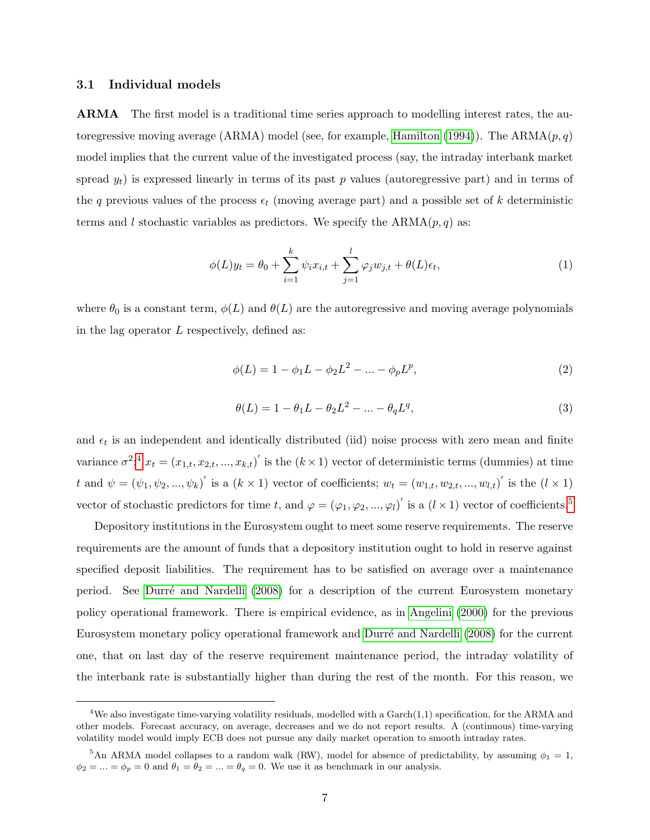#### 3.1 Individual models

ARMA The first model is a traditional time series approach to modelling interest rates, the au-toregressive moving average (ARMA) model (see, for example, [Hamilton](#page-21-6) [\(1994\)](#page-21-6)). The ARMA $(p, q)$ model implies that the current value of the investigated process (say, the intraday interbank market spread  $y_t$ ) is expressed linearly in terms of its past p values (autoregressive part) and in terms of the q previous values of the process  $\epsilon_t$  (moving average part) and a possible set of k deterministic terms and l stochastic variables as predictors. We specify the  $ARMA(p, q)$  as:

$$
\phi(L)y_t = \theta_0 + \sum_{i=1}^k \psi_i x_{i,t} + \sum_{j=1}^l \varphi_j w_{j,t} + \theta(L)\epsilon_t,
$$
\n(1)

where  $\theta_0$  is a constant term,  $\phi(L)$  and  $\theta(L)$  are the autoregressive and moving average polynomials in the lag operator  $L$  respectively, defined as:

$$
\phi(L) = 1 - \phi_1 L - \phi_2 L^2 - \dots - \phi_p L^p,\tag{2}
$$

$$
\theta(L) = 1 - \theta_1 L - \theta_2 L^2 - \dots - \theta_q L^q,\tag{3}
$$

and  $\epsilon_t$  is an independent and identically distributed (iid) noise process with zero mean and finite variance  $\sigma^2$ ;<sup>[4](#page-8-0)</sup>  $x_t = (x_{1,t}, x_{2,t}, ..., x_{k,t})'$  is the  $(k \times 1)$  vector of deterministic terms (dummies) at time t and  $\psi = (\psi_1, \psi_2, ..., \psi_k)'$  is a  $(k \times 1)$  vector of coefficients;  $w_t = (w_{1,t}, w_{2,t}, ..., w_{l,t})'$  is the  $(l \times 1)$ vector of stochastic predictors for time t, and  $\varphi = (\varphi_1, \varphi_2, ..., \varphi_l)'$  is a  $(l \times 1)$  vector of coefficients.<sup>[5](#page-8-1)</sup>

Depository institutions in the Eurosystem ought to meet some reserve requirements. The reserve requirements are the amount of funds that a depository institution ought to hold in reserve against specified deposit liabilities. The requirement has to be satisfied on average over a maintenance period. See Durré and Nardelli [\(2008\)](#page-20-2) for a description of the current Eurosystem monetary policy operational framework. There is empirical evidence, as in [Angelini](#page-19-6) [\(2000\)](#page-19-6) for the previous Eurosystem monetary policy operational framework and Durré and Nardelli [\(2008\)](#page-20-2) for the current one, that on last day of the reserve requirement maintenance period, the intraday volatility of the interbank rate is substantially higher than during the rest of the month. For this reason, we

<span id="page-8-0"></span><sup>&</sup>lt;sup>4</sup>We also investigate time-varying volatility residuals, modelled with a Garch $(1,1)$  specification, for the ARMA and other models. Forecast accuracy, on average, decreases and we do not report results. A (continuous) time-varying volatility model would imply ECB does not pursue any daily market operation to smooth intraday rates.

<span id="page-8-1"></span><sup>&</sup>lt;sup>5</sup>An ARMA model collapses to a random walk (RW), model for absence of predictability, by assuming  $\phi_1 = 1$ ,  $\phi_2 = ... = \phi_p = 0$  and  $\theta_1 = \theta_2 = ... = \theta_q = 0$ . We use it as benchmark in our analysis.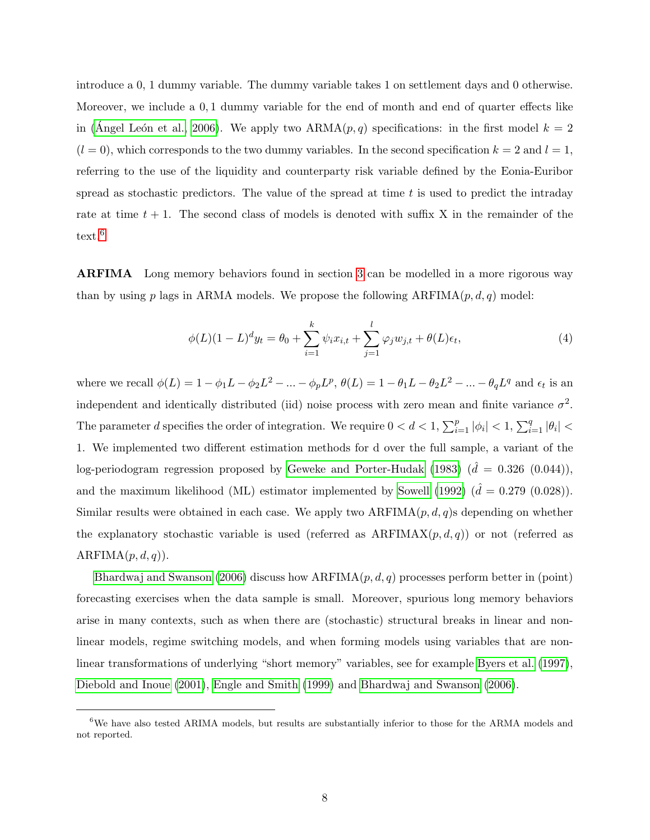introduce a 0, 1 dummy variable. The dummy variable takes 1 on settlement days and 0 otherwise. Moreover, we include a 0, 1 dummy variable for the end of month and end of quarter effects like in (Angel León et al., 2006). We apply two  $ARMA(p, q)$  specifications: in the first model  $k = 2$  $(l = 0)$ , which corresponds to the two dummy variables. In the second specification  $k = 2$  and  $l = 1$ , referring to the use of the liquidity and counterparty risk variable defined by the Eonia-Euribor spread as stochastic predictors. The value of the spread at time  $t$  is used to predict the intraday rate at time  $t + 1$ . The second class of models is denoted with suffix X in the remainder of the text.<sup>[6](#page-9-0)</sup>

ARFIMA Long memory behaviors found in section [3](#page-7-0) can be modelled in a more rigorous way than by using p lags in ARMA models. We propose the following  $ARFIMA(p, d, q)$  model:

$$
\phi(L)(1 - L)^{d}y_{t} = \theta_{0} + \sum_{i=1}^{k} \psi_{i}x_{i,t} + \sum_{j=1}^{l} \varphi_{j}w_{j,t} + \theta(L)\epsilon_{t},
$$
\n(4)

where we recall  $\phi(L) = 1 - \phi_1 L - \phi_2 L^2 - \dots - \phi_p L^p$ ,  $\theta(L) = 1 - \theta_1 L - \theta_2 L^2 - \dots - \theta_q L^q$  and  $\epsilon_t$  is an independent and identically distributed (iid) noise process with zero mean and finite variance  $\sigma^2$ . The parameter d specifies the order of integration. We require  $0 < d < 1$ ,  $\sum_{i=1}^{p} |\phi_i| < 1$ ,  $\sum_{i=1}^{q} |\theta_i| <$ 1. We implemented two different estimation methods for d over the full sample, a variant of the log-periodogram regression proposed by [Geweke and Porter-Hudak](#page-21-7) [\(1983\)](#page-21-7)  $(\hat{d} = 0.326 (0.044)),$ and the maximum likelihood (ML) estimator implemented by [Sowell](#page-22-5) [\(1992\)](#page-22-5)  $(\hat{d} = 0.279 \,(0.028))$ . Similar results were obtained in each case. We apply two  $ARFIMA(p, d, q)$ s depending on whether the explanatory stochastic variable is used (referred as  $ARFIMAX(p, d, q)$ ) or not (referred as  $ARFIMA(p, d, q)$ ).

[Bhardwaj and Swanson](#page-20-6) [\(2006\)](#page-20-6) discuss how  $ARFIMA(p, d, q)$  processes perform better in (point) forecasting exercises when the data sample is small. Moreover, spurious long memory behaviors arise in many contexts, such as when there are (stochastic) structural breaks in linear and nonlinear models, regime switching models, and when forming models using variables that are nonlinear transformations of underlying "short memory" variables, see for example [Byers et al.](#page-20-7) [\(1997\)](#page-20-7), [Diebold and Inoue](#page-20-8) [\(2001\)](#page-20-8), [Engle and Smith](#page-21-8) [\(1999\)](#page-21-8) and [Bhardwaj and Swanson](#page-20-6) [\(2006\)](#page-20-6).

<span id="page-9-0"></span><sup>&</sup>lt;sup>6</sup>We have also tested ARIMA models, but results are substantially inferior to those for the ARMA models and not reported.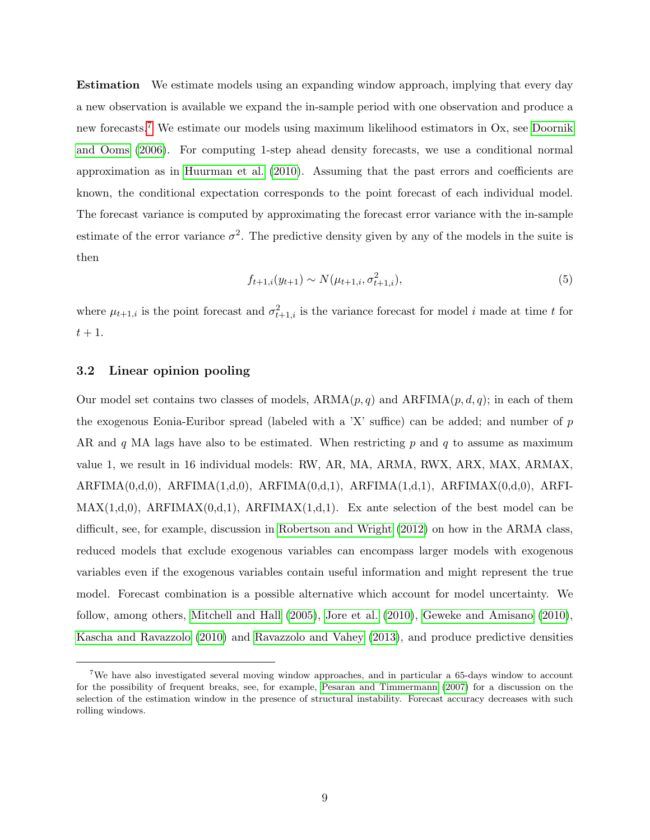Estimation We estimate models using an expanding window approach, implying that every day a new observation is available we expand the in-sample period with one observation and produce a new forecasts.[7](#page-10-0) We estimate our models using maximum likelihood estimators in Ox, see [Doornik](#page-20-9) [and Ooms](#page-20-9) [\(2006\)](#page-20-9). For computing 1-step ahead density forecasts, we use a conditional normal approximation as in [Huurman et al.](#page-21-9) [\(2010\)](#page-21-9). Assuming that the past errors and coefficients are known, the conditional expectation corresponds to the point forecast of each individual model. The forecast variance is computed by approximating the forecast error variance with the in-sample estimate of the error variance  $\sigma^2$ . The predictive density given by any of the models in the suite is then

$$
f_{t+1,i}(y_{t+1}) \sim N(\mu_{t+1,i}, \sigma_{t+1,i}^2), \tag{5}
$$

where  $\mu_{t+1,i}$  is the point forecast and  $\sigma_{t+1,i}^2$  is the variance forecast for model i made at time t for  $t+1$ .

#### 3.2 Linear opinion pooling

Our model set contains two classes of models,  $ARMA(p, q)$  and  $ARFIMA(p, d, q)$ ; in each of them the exogenous Eonia-Euribor spread (labeled with a  $X'$  suffice) can be added; and number of p AR and  $q$  MA lags have also to be estimated. When restricting  $p$  and  $q$  to assume as maximum value 1, we result in 16 individual models: RW, AR, MA, ARMA, RWX, ARX, MAX, ARMAX,  $ARFIMA(0,d,0), ARFIMA(1,d,0), ARFIMA(0,d,1), ARFIMA(1,d,1), ARFIMAX(0,d,0), ARFIAX(0,d,0),$  $MAX(1,d,0)$ ,  $ARFIMAX(0,d,1)$ ,  $ARFIMAX(1,d,1)$ . Ex ante selection of the best model can be difficult, see, for example, discussion in [Robertson and Wright](#page-22-3) [\(2012\)](#page-22-3) on how in the ARMA class, reduced models that exclude exogenous variables can encompass larger models with exogenous variables even if the exogenous variables contain useful information and might represent the true model. Forecast combination is a possible alternative which account for model uncertainty. We follow, among others, [Mitchell and Hall](#page-22-6) [\(2005\)](#page-22-6), [Jore et al.](#page-21-10) [\(2010\)](#page-21-10), [Geweke and Amisano](#page-21-11) [\(2010\)](#page-21-11), [Kascha and Ravazzolo](#page-21-12) [\(2010\)](#page-21-12) and [Ravazzolo and Vahey](#page-22-7) [\(2013\)](#page-22-7), and produce predictive densities

<span id="page-10-0"></span><sup>7</sup>We have also investigated several moving window approaches, and in particular a 65-days window to account for the possibility of frequent breaks, see, for example, [Pesaran and Timmermann](#page-22-8) [\(2007\)](#page-22-8) for a discussion on the selection of the estimation window in the presence of structural instability. Forecast accuracy decreases with such rolling windows.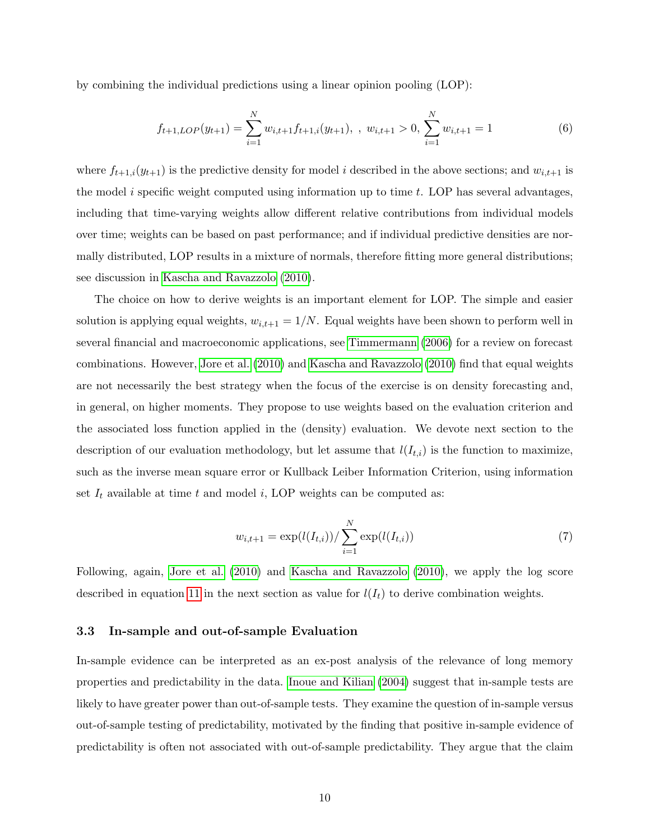by combining the individual predictions using a linear opinion pooling (LOP):

$$
f_{t+1,LOP}(y_{t+1}) = \sum_{i=1}^{N} w_{i,t+1} f_{t+1,i}(y_{t+1}), \quad w_{i,t+1} > 0, \sum_{i=1}^{N} w_{i,t+1} = 1
$$
 (6)

where  $f_{t+1,i}(y_{t+1})$  is the predictive density for model *i* described in the above sections; and  $w_{i,t+1}$  is the model i specific weight computed using information up to time  $t$ . LOP has several advantages, including that time-varying weights allow different relative contributions from individual models over time; weights can be based on past performance; and if individual predictive densities are normally distributed, LOP results in a mixture of normals, therefore fitting more general distributions; see discussion in [Kascha and Ravazzolo](#page-21-12) [\(2010\)](#page-21-12).

The choice on how to derive weights is an important element for LOP. The simple and easier solution is applying equal weights,  $w_{i,t+1} = 1/N$ . Equal weights have been shown to perform well in several financial and macroeconomic applications, see [Timmermann](#page-23-2) [\(2006\)](#page-23-2) for a review on forecast combinations. However, [Jore et al.](#page-21-10) [\(2010\)](#page-21-10) and [Kascha and Ravazzolo](#page-21-12) [\(2010\)](#page-21-12) find that equal weights are not necessarily the best strategy when the focus of the exercise is on density forecasting and, in general, on higher moments. They propose to use weights based on the evaluation criterion and the associated loss function applied in the (density) evaluation. We devote next section to the description of our evaluation methodology, but let assume that  $l(I_{t,i})$  is the function to maximize, such as the inverse mean square error or Kullback Leiber Information Criterion, using information set  $I_t$  available at time t and model i, LOP weights can be computed as:

$$
w_{i,t+1} = \exp(l(I_{t,i})) / \sum_{i=1}^{N} \exp(l(I_{t,i}))
$$
\n(7)

Following, again, [Jore et al.](#page-21-10) [\(2010\)](#page-21-10) and [Kascha and Ravazzolo](#page-21-12) [\(2010\)](#page-21-12), we apply the log score described in equation [11](#page-14-0) in the next section as value for  $l(I_t)$  to derive combination weights.

#### <span id="page-11-0"></span>3.3 In-sample and out-of-sample Evaluation

In-sample evidence can be interpreted as an ex-post analysis of the relevance of long memory properties and predictability in the data. [Inoue and Kilian](#page-21-13) [\(2004\)](#page-21-13) suggest that in-sample tests are likely to have greater power than out-of-sample tests. They examine the question of in-sample versus out-of-sample testing of predictability, motivated by the finding that positive in-sample evidence of predictability is often not associated with out-of-sample predictability. They argue that the claim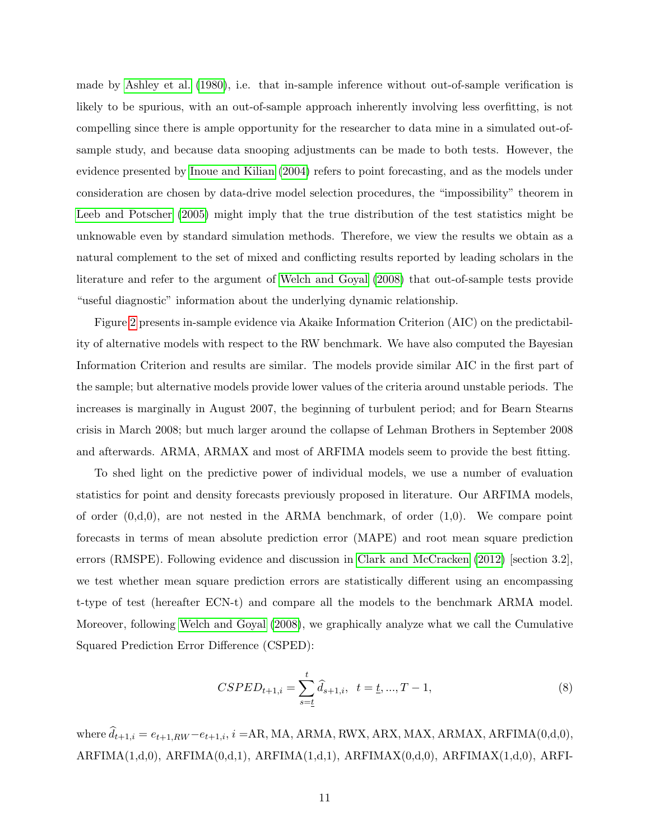made by [Ashley et al.](#page-19-8) [\(1980\)](#page-19-8), i.e. that in-sample inference without out-of-sample verification is likely to be spurious, with an out-of-sample approach inherently involving less overfitting, is not compelling since there is ample opportunity for the researcher to data mine in a simulated out-ofsample study, and because data snooping adjustments can be made to both tests. However, the evidence presented by [Inoue and Kilian](#page-21-13) [\(2004\)](#page-21-13) refers to point forecasting, and as the models under consideration are chosen by data-drive model selection procedures, the "impossibility" theorem in [Leeb and Potscher](#page-22-9) [\(2005\)](#page-22-9) might imply that the true distribution of the test statistics might be unknowable even by standard simulation methods. Therefore, we view the results we obtain as a natural complement to the set of mixed and conflicting results reported by leading scholars in the literature and refer to the argument of [Welch and Goyal](#page-23-3) [\(2008\)](#page-23-3) that out-of-sample tests provide "useful diagnostic" information about the underlying dynamic relationship.

Figure [2](#page-27-0) presents in-sample evidence via Akaike Information Criterion (AIC) on the predictability of alternative models with respect to the RW benchmark. We have also computed the Bayesian Information Criterion and results are similar. The models provide similar AIC in the first part of the sample; but alternative models provide lower values of the criteria around unstable periods. The increases is marginally in August 2007, the beginning of turbulent period; and for Bearn Stearns crisis in March 2008; but much larger around the collapse of Lehman Brothers in September 2008 and afterwards. ARMA, ARMAX and most of ARFIMA models seem to provide the best fitting.

To shed light on the predictive power of individual models, we use a number of evaluation statistics for point and density forecasts previously proposed in literature. Our ARFIMA models, of order  $(0, d, 0)$ , are not nested in the ARMA benchmark, of order  $(1, 0)$ . We compare point forecasts in terms of mean absolute prediction error (MAPE) and root mean square prediction errors (RMSPE). Following evidence and discussion in [Clark and McCracken](#page-20-10) [\(2012\)](#page-20-10) [section 3.2], we test whether mean square prediction errors are statistically different using an encompassing t-type of test (hereafter ECN-t) and compare all the models to the benchmark ARMA model. Moreover, following [Welch and Goyal](#page-23-3) [\(2008\)](#page-23-3), we graphically analyze what we call the Cumulative Squared Prediction Error Difference (CSPED):

$$
CSPED_{t+1,i} = \sum_{s=\underline{t}}^{t} \hat{d}_{s+1,i}, \quad t = \underline{t}, ..., T-1,
$$
\n(8)

where  $\hat{d}_{t+1,i} = e_{t+1,RW} - e_{t+1,i}$ ,  $i = AR, MA, ARMA, RWX, ARX, MAX, ARMAX, ARFIMA(0,d,0),$  $ARFIMA(1,d,0), ARFIMA(0,d,1), ARFIMA(1,d,1), ARFIMAX(0,d,0), ARFIMAX(1,d,0), ARFIAX(1,d,0))$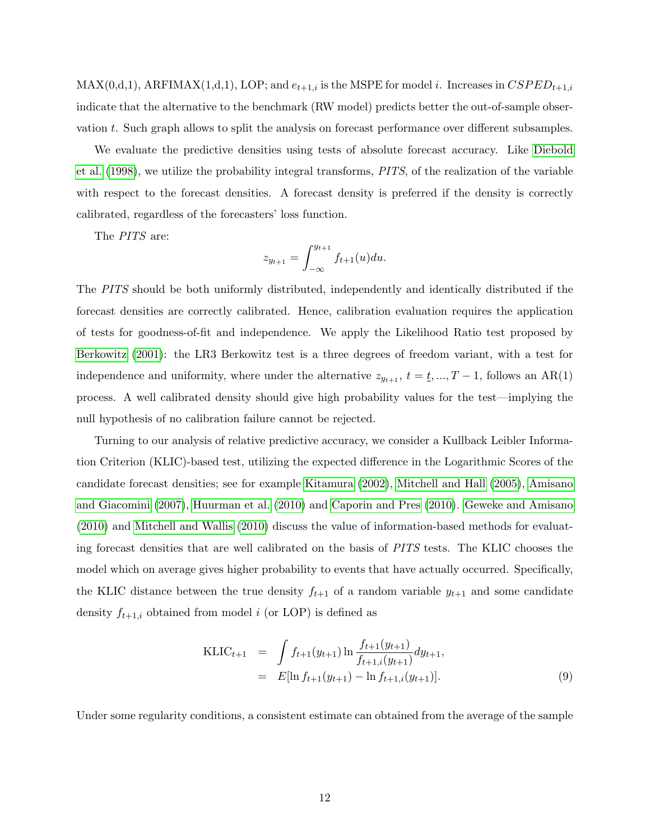$MAX(0,d,1)$ ,  $ARFIMAX(1,d,1)$ ,  $LOP$ ; and  $e_{t+1,i}$  is the MSPE for model i. Increases in  $CSPED_{t+1,i}$ indicate that the alternative to the benchmark (RW model) predicts better the out-of-sample observation t. Such graph allows to split the analysis on forecast performance over different subsamples.

We evaluate the predictive densities using tests of absolute forecast accuracy. Like [Diebold](#page-20-11) [et al.](#page-20-11) [\(1998\)](#page-20-11), we utilize the probability integral transforms, PITS, of the realization of the variable with respect to the forecast densities. A forecast density is preferred if the density is correctly calibrated, regardless of the forecasters' loss function.

The PITS are:

$$
z_{y_{t+1}} = \int_{-\infty}^{y_{t+1}} f_{t+1}(u) du.
$$

The PITS should be both uniformly distributed, independently and identically distributed if the forecast densities are correctly calibrated. Hence, calibration evaluation requires the application of tests for goodness-of-fit and independence. We apply the Likelihood Ratio test proposed by [Berkowitz](#page-19-9) [\(2001\)](#page-19-9): the LR3 Berkowitz test is a three degrees of freedom variant, with a test for independence and uniformity, where under the alternative  $z_{y_{t+1}}, t = \underline{t}, ..., T-1$ , follows an AR(1) process. A well calibrated density should give high probability values for the test—implying the null hypothesis of no calibration failure cannot be rejected.

Turning to our analysis of relative predictive accuracy, we consider a Kullback Leibler Information Criterion (KLIC)-based test, utilizing the expected difference in the Logarithmic Scores of the candidate forecast densities; see for example [Kitamura](#page-22-10) [\(2002\)](#page-22-10), [Mitchell and Hall](#page-22-6) [\(2005\)](#page-22-6), [Amisano](#page-19-10) [and Giacomini](#page-19-10) [\(2007\)](#page-19-10), [Huurman et al.](#page-21-9) [\(2010\)](#page-21-9) and [Caporin and Pres](#page-20-12) [\(2010\)](#page-20-12). [Geweke and Amisano](#page-21-11) [\(2010\)](#page-21-11) and [Mitchell and Wallis](#page-22-11) [\(2010\)](#page-22-11) discuss the value of information-based methods for evaluating forecast densities that are well calibrated on the basis of PITS tests. The KLIC chooses the model which on average gives higher probability to events that have actually occurred. Specifically, the KLIC distance between the true density  $f_{t+1}$  of a random variable  $y_{t+1}$  and some candidate density  $f_{t+1,i}$  obtained from model i (or LOP) is defined as

$$
\begin{aligned} \text{KLIC}_{t+1} &= \int f_{t+1}(y_{t+1}) \ln \frac{f_{t+1}(y_{t+1})}{f_{t+1,i}(y_{t+1})} dy_{t+1}, \\ &= E[\ln f_{t+1}(y_{t+1}) - \ln f_{t+1,i}(y_{t+1})]. \end{aligned} \tag{9}
$$

Under some regularity conditions, a consistent estimate can obtained from the average of the sample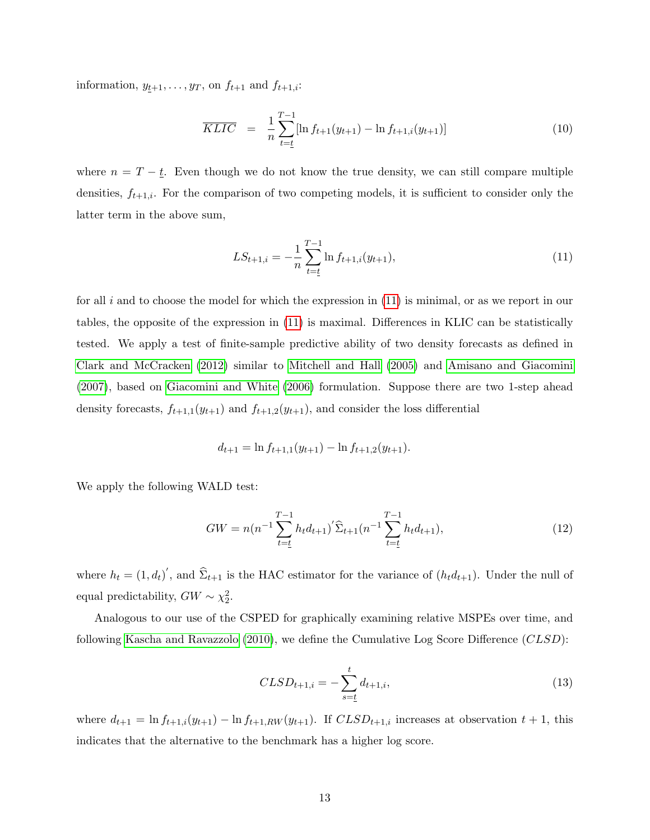information,  $y_{t+1}, \ldots, y_T$ , on  $f_{t+1}$  and  $f_{t+1,i}$ :

$$
\overline{KLIC} = \frac{1}{n} \sum_{t=\underline{t}}^{T-1} [\ln f_{t+1}(y_{t+1}) - \ln f_{t+1,i}(y_{t+1})] \tag{10}
$$

where  $n = T - \underline{t}$ . Even though we do not know the true density, we can still compare multiple densities,  $f_{t+1,i}$ . For the comparison of two competing models, it is sufficient to consider only the latter term in the above sum,

<span id="page-14-0"></span>
$$
LS_{t+1,i} = -\frac{1}{n} \sum_{t=\underline{t}}^{T-1} \ln f_{t+1,i}(y_{t+1}),
$$
\n(11)

for all i and to choose the model for which the expression in  $(11)$  is minimal, or as we report in our tables, the opposite of the expression in [\(11\)](#page-14-0) is maximal. Differences in KLIC can be statistically tested. We apply a test of finite-sample predictive ability of two density forecasts as defined in [Clark and McCracken](#page-20-10) [\(2012\)](#page-20-10) similar to [Mitchell and Hall](#page-22-6) [\(2005\)](#page-22-6) and [Amisano and Giacomini](#page-19-10) [\(2007\)](#page-19-10), based on [Giacomini and White](#page-21-14) [\(2006\)](#page-21-14) formulation. Suppose there are two 1-step ahead density forecasts,  $f_{t+1,1}(y_{t+1})$  and  $f_{t+1,2}(y_{t+1})$ , and consider the loss differential

$$
d_{t+1} = \ln f_{t+1,1}(y_{t+1}) - \ln f_{t+1,2}(y_{t+1}).
$$

We apply the following WALD test:

$$
GW = n(n^{-1} \sum_{t=\underline{t}}^{T-1} h_t d_{t+1})' \widehat{\Sigma}_{t+1}(n^{-1} \sum_{t=\underline{t}}^{T-1} h_t d_{t+1}),
$$
\n(12)

where  $h_t = (1, d_t)'$ , and  $\hat{\Sigma}_{t+1}$  is the HAC estimator for the variance of  $(h_t d_{t+1})$ . Under the null of equal predictability,  $GW \sim \chi_2^2$ .

Analogous to our use of the CSPED for graphically examining relative MSPEs over time, and following [Kascha and Ravazzolo](#page-21-12) [\(2010\)](#page-21-12), we define the Cumulative Log Score Difference (CLSD):

$$
CLSD_{t+1,i} = -\sum_{s=\underline{t}}^{t} d_{t+1,i},
$$
\n(13)

where  $d_{t+1} = \ln f_{t+1,i}(y_{t+1}) - \ln f_{t+1,RW}(y_{t+1})$ . If  $CLSD_{t+1,i}$  increases at observation  $t+1$ , this indicates that the alternative to the benchmark has a higher log score.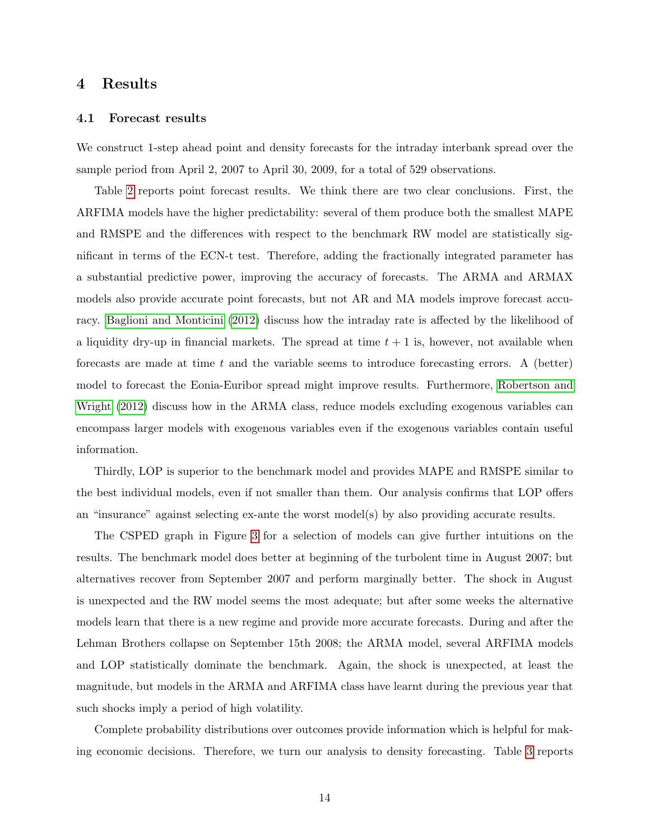### 4 Results

#### 4.1 Forecast results

We construct 1-step ahead point and density forecasts for the intraday interbank spread over the sample period from April 2, 2007 to April 30, 2009, for a total of 529 observations.

Table [2](#page-24-0) reports point forecast results. We think there are two clear conclusions. First, the ARFIMA models have the higher predictability: several of them produce both the smallest MAPE and RMSPE and the differences with respect to the benchmark RW model are statistically significant in terms of the ECN-t test. Therefore, adding the fractionally integrated parameter has a substantial predictive power, improving the accuracy of forecasts. The ARMA and ARMAX models also provide accurate point forecasts, but not AR and MA models improve forecast accuracy. [Baglioni and Monticini](#page-19-4) [\(2012\)](#page-19-4) discuss how the intraday rate is affected by the likelihood of a liquidity dry-up in financial markets. The spread at time  $t + 1$  is, however, not available when forecasts are made at time  $t$  and the variable seems to introduce forecasting errors. A (better) model to forecast the Eonia-Euribor spread might improve results. Furthermore, [Robertson and](#page-22-3) [Wright](#page-22-3) [\(2012\)](#page-22-3) discuss how in the ARMA class, reduce models excluding exogenous variables can encompass larger models with exogenous variables even if the exogenous variables contain useful information.

Thirdly, LOP is superior to the benchmark model and provides MAPE and RMSPE similar to the best individual models, even if not smaller than them. Our analysis confirms that LOP offers an "insurance" against selecting ex-ante the worst model(s) by also providing accurate results.

The CSPED graph in Figure [3](#page-27-1) for a selection of models can give further intuitions on the results. The benchmark model does better at beginning of the turbolent time in August 2007; but alternatives recover from September 2007 and perform marginally better. The shock in August is unexpected and the RW model seems the most adequate; but after some weeks the alternative models learn that there is a new regime and provide more accurate forecasts. During and after the Lehman Brothers collapse on September 15th 2008; the ARMA model, several ARFIMA models and LOP statistically dominate the benchmark. Again, the shock is unexpected, at least the magnitude, but models in the ARMA and ARFIMA class have learnt during the previous year that such shocks imply a period of high volatility.

Complete probability distributions over outcomes provide information which is helpful for making economic decisions. Therefore, we turn our analysis to density forecasting. Table [3](#page-25-0) reports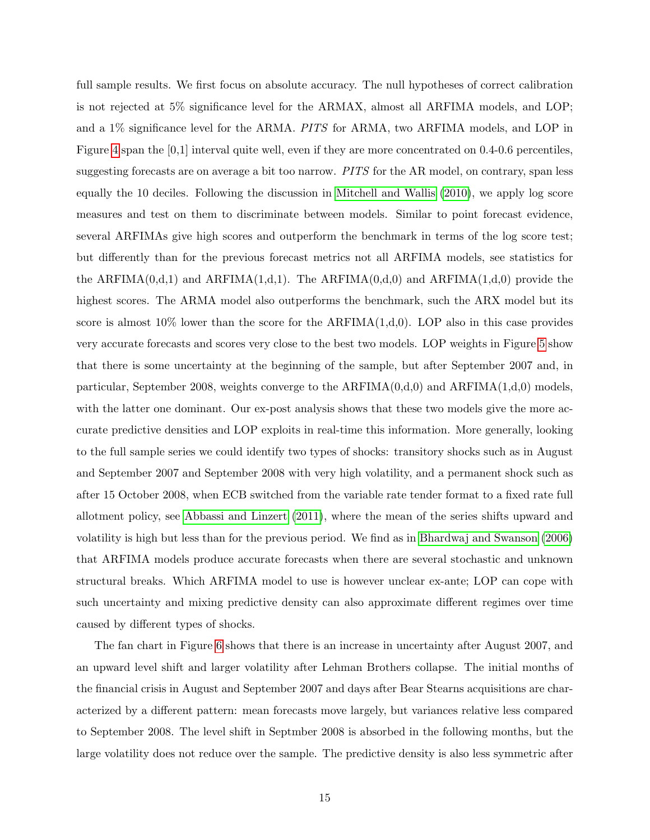full sample results. We first focus on absolute accuracy. The null hypotheses of correct calibration is not rejected at 5% significance level for the ARMAX, almost all ARFIMA models, and LOP; and a 1% significance level for the ARMA. PITS for ARMA, two ARFIMA models, and LOP in Figure [4](#page-28-0) span the [0,1] interval quite well, even if they are more concentrated on 0.4-0.6 percentiles, suggesting forecasts are on average a bit too narrow. PITS for the AR model, on contrary, span less equally the 10 deciles. Following the discussion in [Mitchell and Wallis](#page-22-11) [\(2010\)](#page-22-11), we apply log score measures and test on them to discriminate between models. Similar to point forecast evidence, several ARFIMAs give high scores and outperform the benchmark in terms of the log score test; but differently than for the previous forecast metrics not all ARFIMA models, see statistics for the ARFIMA $(0,d,1)$  and ARFIMA $(1,d,1)$ . The ARFIMA $(0,d,0)$  and ARFIMA $(1,d,0)$  provide the highest scores. The ARMA model also outperforms the benchmark, such the ARX model but its score is almost 10% lower than the score for the  $ARFIMA(1,d,0)$ . LOP also in this case provides very accurate forecasts and scores very close to the best two models. LOP weights in Figure [5](#page-29-0) show that there is some uncertainty at the beginning of the sample, but after September 2007 and, in particular, September 2008, weights converge to the  $ARFIMA(0,d,0)$  and  $ARFIMA(1,d,0)$  models, with the latter one dominant. Our ex-post analysis shows that these two models give the more accurate predictive densities and LOP exploits in real-time this information. More generally, looking to the full sample series we could identify two types of shocks: transitory shocks such as in August and September 2007 and September 2008 with very high volatility, and a permanent shock such as after 15 October 2008, when ECB switched from the variable rate tender format to a fixed rate full allotment policy, see [Abbassi and Linzert](#page-19-11) [\(2011\)](#page-19-11), where the mean of the series shifts upward and volatility is high but less than for the previous period. We find as in [Bhardwaj and Swanson](#page-20-6) [\(2006\)](#page-20-6) that ARFIMA models produce accurate forecasts when there are several stochastic and unknown structural breaks. Which ARFIMA model to use is however unclear ex-ante; LOP can cope with such uncertainty and mixing predictive density can also approximate different regimes over time caused by different types of shocks.

The fan chart in Figure [6](#page-30-0) shows that there is an increase in uncertainty after August 2007, and an upward level shift and larger volatility after Lehman Brothers collapse. The initial months of the financial crisis in August and September 2007 and days after Bear Stearns acquisitions are characterized by a different pattern: mean forecasts move largely, but variances relative less compared to September 2008. The level shift in Septmber 2008 is absorbed in the following months, but the large volatility does not reduce over the sample. The predictive density is also less symmetric after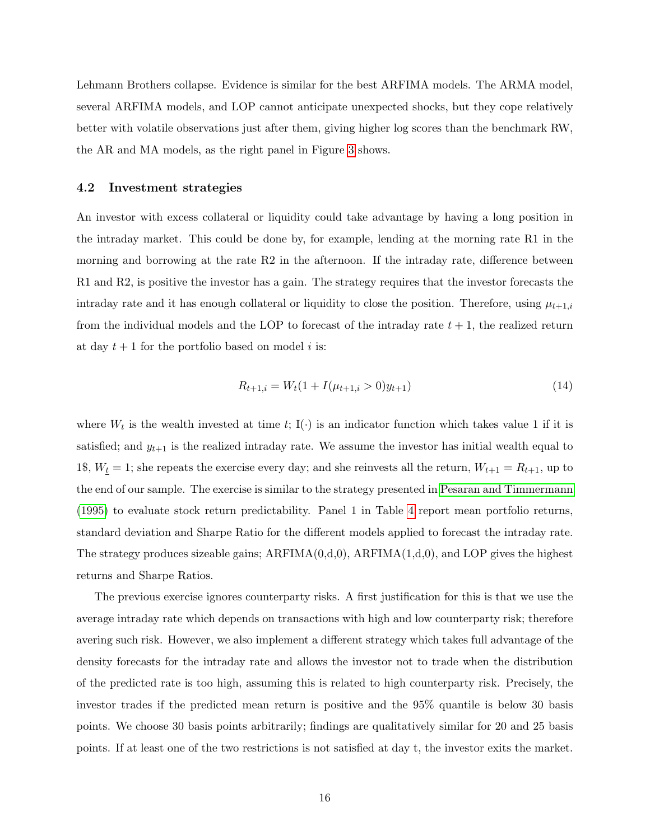Lehmann Brothers collapse. Evidence is similar for the best ARFIMA models. The ARMA model, several ARFIMA models, and LOP cannot anticipate unexpected shocks, but they cope relatively better with volatile observations just after them, giving higher log scores than the benchmark RW, the AR and MA models, as the right panel in Figure [3](#page-27-1) shows.

#### 4.2 Investment strategies

An investor with excess collateral or liquidity could take advantage by having a long position in the intraday market. This could be done by, for example, lending at the morning rate R1 in the morning and borrowing at the rate R2 in the afternoon. If the intraday rate, difference between R1 and R2, is positive the investor has a gain. The strategy requires that the investor forecasts the intraday rate and it has enough collateral or liquidity to close the position. Therefore, using  $\mu_{t+1,i}$ from the individual models and the LOP to forecast of the intraday rate  $t + 1$ , the realized return at day  $t + 1$  for the portfolio based on model i is:

$$
R_{t+1,i} = W_t(1 + I(\mu_{t+1,i} > 0)y_{t+1})
$$
\n(14)

where  $W_t$  is the wealth invested at time t; I( $\cdot$ ) is an indicator function which takes value 1 if it is satisfied; and  $y_{t+1}$  is the realized intraday rate. We assume the investor has initial wealth equal to 1\$,  $W_{\underline{t}} = 1$ ; she repeats the exercise every day; and she reinvests all the return,  $W_{t+1} = R_{t+1}$ , up to the end of our sample. The exercise is similar to the strategy presented in [Pesaran and Timmermann](#page-22-12) [\(1995\)](#page-22-12) to evaluate stock return predictability. Panel 1 in Table [4](#page-26-0) report mean portfolio returns, standard deviation and Sharpe Ratio for the different models applied to forecast the intraday rate. The strategy produces sizeable gains;  $ARFIMA(0,d,0)$ ,  $ARFIMA(1,d,0)$ , and LOP gives the highest returns and Sharpe Ratios.

The previous exercise ignores counterparty risks. A first justification for this is that we use the average intraday rate which depends on transactions with high and low counterparty risk; therefore avering such risk. However, we also implement a different strategy which takes full advantage of the density forecasts for the intraday rate and allows the investor not to trade when the distribution of the predicted rate is too high, assuming this is related to high counterparty risk. Precisely, the investor trades if the predicted mean return is positive and the 95% quantile is below 30 basis points. We choose 30 basis points arbitrarily; findings are qualitatively similar for 20 and 25 basis points. If at least one of the two restrictions is not satisfied at day t, the investor exits the market.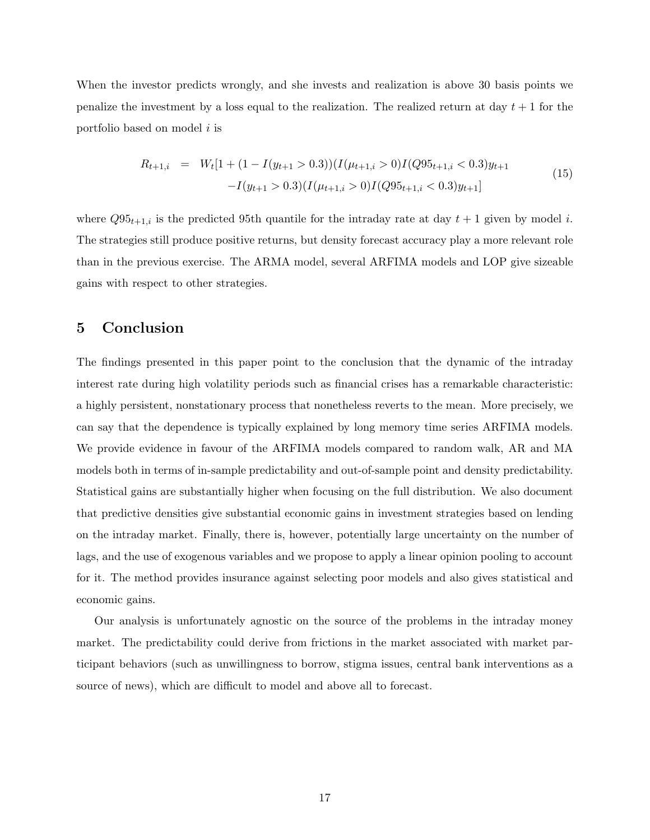When the investor predicts wrongly, and she invests and realization is above 30 basis points we penalize the investment by a loss equal to the realization. The realized return at day  $t + 1$  for the portfolio based on model i is

$$
R_{t+1,i} = W_t[1 + (1 - I(y_{t+1} > 0.3))(I(\mu_{t+1,i} > 0)I(Q95_{t+1,i} < 0.3)y_{t+1} - I(y_{t+1} > 0.3)(I(\mu_{t+1,i} > 0)I(Q95_{t+1,i} < 0.3)y_{t+1}]
$$
\n(15)

where  $Q95_{t+1,i}$  is the predicted 95th quantile for the intraday rate at day  $t+1$  given by model i. The strategies still produce positive returns, but density forecast accuracy play a more relevant role than in the previous exercise. The ARMA model, several ARFIMA models and LOP give sizeable gains with respect to other strategies.

### <span id="page-18-0"></span>5 Conclusion

The findings presented in this paper point to the conclusion that the dynamic of the intraday interest rate during high volatility periods such as financial crises has a remarkable characteristic: a highly persistent, nonstationary process that nonetheless reverts to the mean. More precisely, we can say that the dependence is typically explained by long memory time series ARFIMA models. We provide evidence in favour of the ARFIMA models compared to random walk, AR and MA models both in terms of in-sample predictability and out-of-sample point and density predictability. Statistical gains are substantially higher when focusing on the full distribution. We also document that predictive densities give substantial economic gains in investment strategies based on lending on the intraday market. Finally, there is, however, potentially large uncertainty on the number of lags, and the use of exogenous variables and we propose to apply a linear opinion pooling to account for it. The method provides insurance against selecting poor models and also gives statistical and economic gains.

Our analysis is unfortunately agnostic on the source of the problems in the intraday money market. The predictability could derive from frictions in the market associated with market participant behaviors (such as unwillingness to borrow, stigma issues, central bank interventions as a source of news), which are difficult to model and above all to forecast.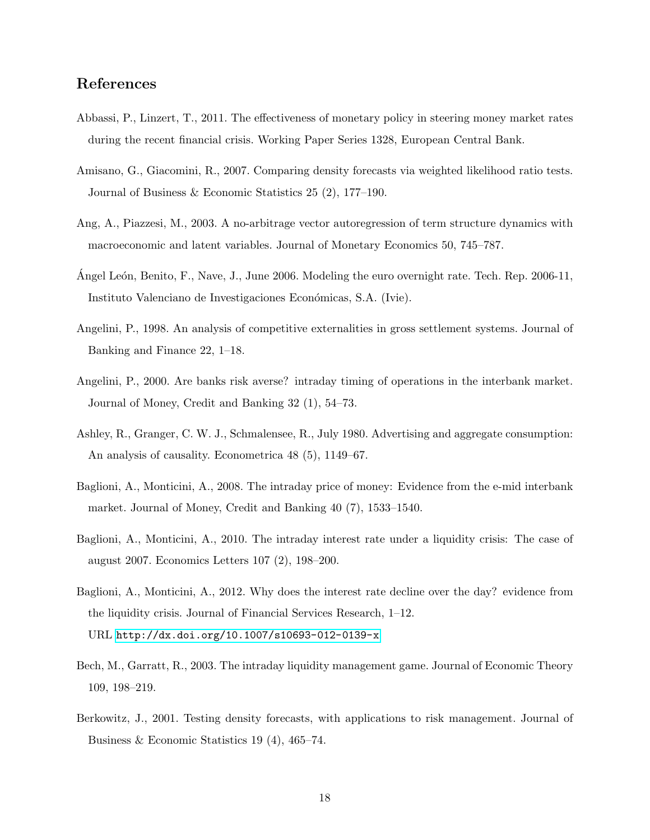## References

- <span id="page-19-11"></span>Abbassi, P., Linzert, T., 2011. The effectiveness of monetary policy in steering money market rates during the recent financial crisis. Working Paper Series 1328, European Central Bank.
- <span id="page-19-10"></span>Amisano, G., Giacomini, R., 2007. Comparing density forecasts via weighted likelihood ratio tests. Journal of Business & Economic Statistics 25 (2), 177–190.
- <span id="page-19-5"></span>Ang, A., Piazzesi, M., 2003. A no-arbitrage vector autoregression of term structure dynamics with macroeconomic and latent variables. Journal of Monetary Economics 50, 745–787.
- <span id="page-19-7"></span>Angel León, Benito, F., Nave, J., June 2006. Modeling the euro overnight rate. Tech. Rep. 2006-11, Instituto Valenciano de Investigaciones Económicas, S.A. (Ivie).
- <span id="page-19-2"></span>Angelini, P., 1998. An analysis of competitive externalities in gross settlement systems. Journal of Banking and Finance 22, 1–18.
- <span id="page-19-6"></span>Angelini, P., 2000. Are banks risk averse? intraday timing of operations in the interbank market. Journal of Money, Credit and Banking 32 (1), 54–73.
- <span id="page-19-8"></span>Ashley, R., Granger, C. W. J., Schmalensee, R., July 1980. Advertising and aggregate consumption: An analysis of causality. Econometrica 48 (5), 1149–67.
- <span id="page-19-0"></span>Baglioni, A., Monticini, A., 2008. The intraday price of money: Evidence from the e-mid interbank market. Journal of Money, Credit and Banking 40 (7), 1533–1540.
- <span id="page-19-1"></span>Baglioni, A., Monticini, A., 2010. The intraday interest rate under a liquidity crisis: The case of august 2007. Economics Letters 107 (2), 198–200.
- <span id="page-19-4"></span>Baglioni, A., Monticini, A., 2012. Why does the interest rate decline over the day? evidence from the liquidity crisis. Journal of Financial Services Research, 1–12. URL <http://dx.doi.org/10.1007/s10693-012-0139-x>
- <span id="page-19-3"></span>Bech, M., Garratt, R., 2003. The intraday liquidity management game. Journal of Economic Theory 109, 198–219.
- <span id="page-19-9"></span>Berkowitz, J., 2001. Testing density forecasts, with applications to risk management. Journal of Business & Economic Statistics 19 (4), 465–74.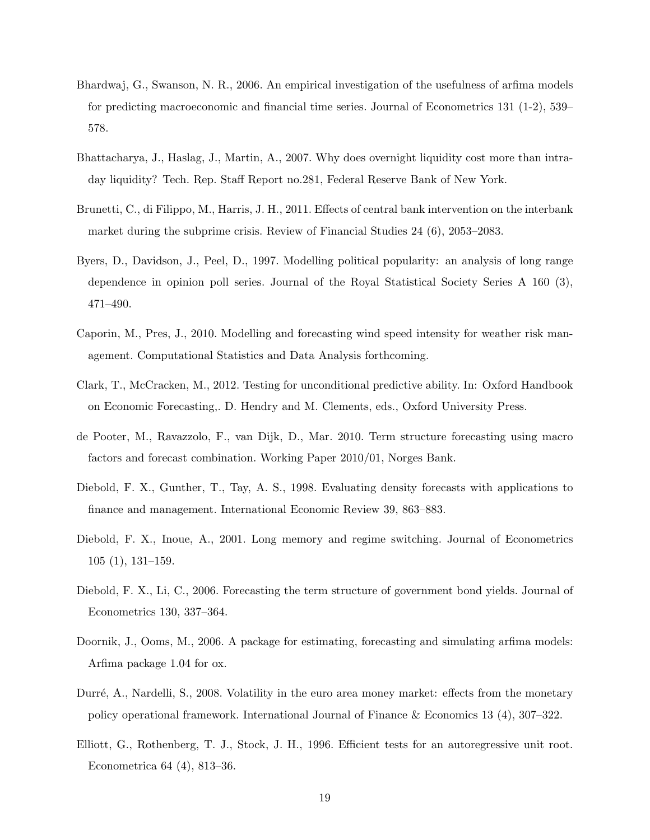- <span id="page-20-6"></span>Bhardwaj, G., Swanson, N. R., 2006. An empirical investigation of the usefulness of arfima models for predicting macroeconomic and financial time series. Journal of Econometrics 131 (1-2), 539– 578.
- <span id="page-20-0"></span>Bhattacharya, J., Haslag, J., Martin, A., 2007. Why does overnight liquidity cost more than intraday liquidity? Tech. Rep. Staff Report no.281, Federal Reserve Bank of New York.
- <span id="page-20-1"></span>Brunetti, C., di Filippo, M., Harris, J. H., 2011. Effects of central bank intervention on the interbank market during the subprime crisis. Review of Financial Studies 24 (6), 2053–2083.
- <span id="page-20-7"></span>Byers, D., Davidson, J., Peel, D., 1997. Modelling political popularity: an analysis of long range dependence in opinion poll series. Journal of the Royal Statistical Society Series A 160 (3), 471–490.
- <span id="page-20-12"></span>Caporin, M., Pres, J., 2010. Modelling and forecasting wind speed intensity for weather risk management. Computational Statistics and Data Analysis forthcoming.
- <span id="page-20-10"></span>Clark, T., McCracken, M., 2012. Testing for unconditional predictive ability. In: Oxford Handbook on Economic Forecasting,. D. Hendry and M. Clements, eds., Oxford University Press.
- <span id="page-20-4"></span>de Pooter, M., Ravazzolo, F., van Dijk, D., Mar. 2010. Term structure forecasting using macro factors and forecast combination. Working Paper 2010/01, Norges Bank.
- <span id="page-20-11"></span>Diebold, F. X., Gunther, T., Tay, A. S., 1998. Evaluating density forecasts with applications to finance and management. International Economic Review 39, 863–883.
- <span id="page-20-8"></span>Diebold, F. X., Inoue, A., 2001. Long memory and regime switching. Journal of Econometrics 105 (1), 131–159.
- <span id="page-20-3"></span>Diebold, F. X., Li, C., 2006. Forecasting the term structure of government bond yields. Journal of Econometrics 130, 337–364.
- <span id="page-20-9"></span>Doornik, J., Ooms, M., 2006. A package for estimating, forecasting and simulating arfima models: Arfima package 1.04 for ox.
- <span id="page-20-2"></span>Durré, A., Nardelli, S., 2008. Volatility in the euro area money market: effects from the monetary policy operational framework. International Journal of Finance & Economics 13 (4), 307–322.
- <span id="page-20-5"></span>Elliott, G., Rothenberg, T. J., Stock, J. H., 1996. Efficient tests for an autoregressive unit root. Econometrica 64 (4), 813–36.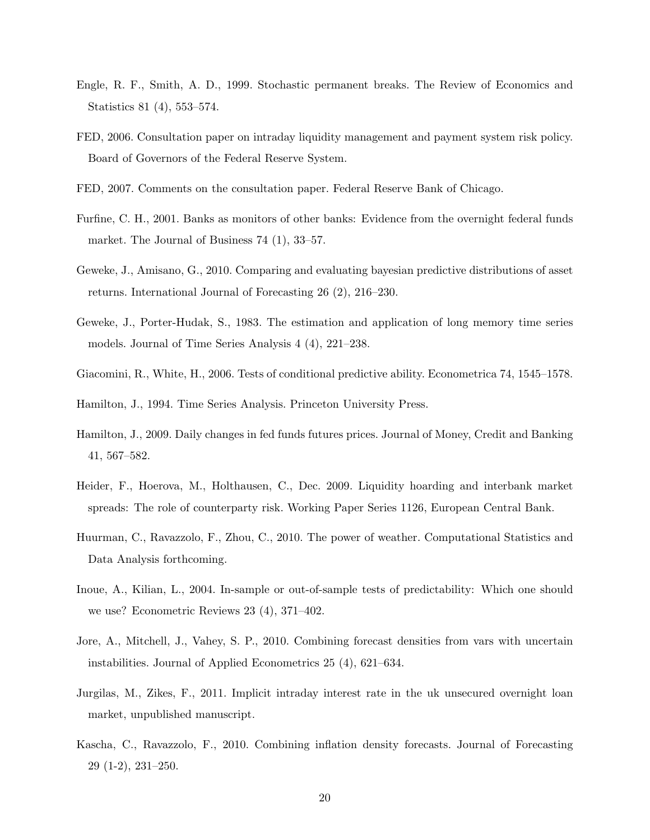- <span id="page-21-8"></span>Engle, R. F., Smith, A. D., 1999. Stochastic permanent breaks. The Review of Economics and Statistics 81 (4), 553–574.
- <span id="page-21-2"></span>FED, 2006. Consultation paper on intraday liquidity management and payment system risk policy. Board of Governors of the Federal Reserve System.
- <span id="page-21-3"></span>FED, 2007. Comments on the consultation paper. Federal Reserve Bank of Chicago.
- <span id="page-21-0"></span>Furfine, C. H., 2001. Banks as monitors of other banks: Evidence from the overnight federal funds market. The Journal of Business 74 (1), 33–57.
- <span id="page-21-11"></span>Geweke, J., Amisano, G., 2010. Comparing and evaluating bayesian predictive distributions of asset returns. International Journal of Forecasting 26 (2), 216–230.
- <span id="page-21-7"></span>Geweke, J., Porter-Hudak, S., 1983. The estimation and application of long memory time series models. Journal of Time Series Analysis 4 (4), 221–238.
- <span id="page-21-14"></span>Giacomini, R., White, H., 2006. Tests of conditional predictive ability. Econometrica 74, 1545–1578.

<span id="page-21-6"></span>Hamilton, J., 1994. Time Series Analysis. Princeton University Press.

- <span id="page-21-5"></span>Hamilton, J., 2009. Daily changes in fed funds futures prices. Journal of Money, Credit and Banking 41, 567–582.
- <span id="page-21-4"></span>Heider, F., Hoerova, M., Holthausen, C., Dec. 2009. Liquidity hoarding and interbank market spreads: The role of counterparty risk. Working Paper Series 1126, European Central Bank.
- <span id="page-21-9"></span>Huurman, C., Ravazzolo, F., Zhou, C., 2010. The power of weather. Computational Statistics and Data Analysis forthcoming.
- <span id="page-21-13"></span>Inoue, A., Kilian, L., 2004. In-sample or out-of-sample tests of predictability: Which one should we use? Econometric Reviews 23 (4), 371–402.
- <span id="page-21-10"></span>Jore, A., Mitchell, J., Vahey, S. P., 2010. Combining forecast densities from vars with uncertain instabilities. Journal of Applied Econometrics 25 (4), 621–634.
- <span id="page-21-1"></span>Jurgilas, M., Zikes, F., 2011. Implicit intraday interest rate in the uk unsecured overnight loan market, unpublished manuscript.
- <span id="page-21-12"></span>Kascha, C., Ravazzolo, F., 2010. Combining inflation density forecasts. Journal of Forecasting 29 (1-2), 231–250.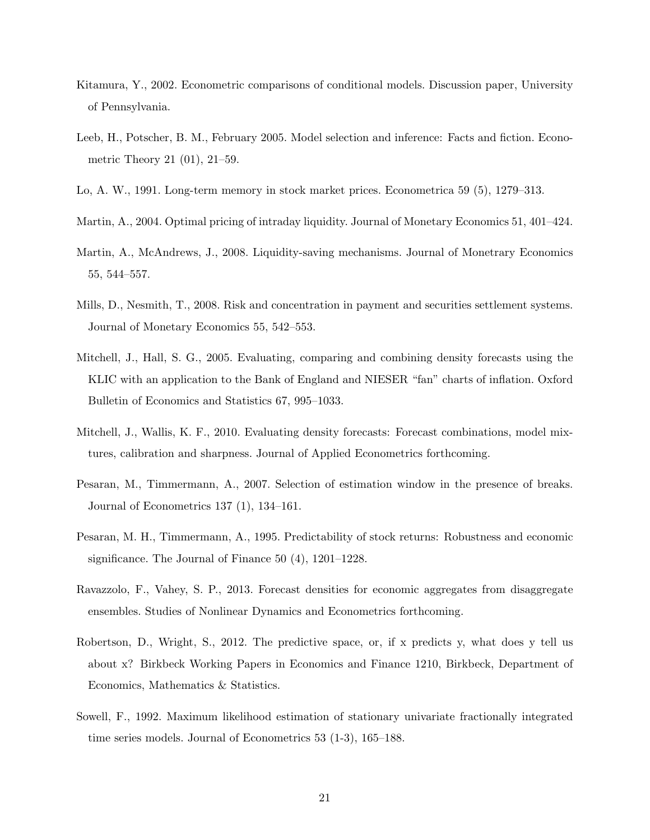- <span id="page-22-10"></span>Kitamura, Y., 2002. Econometric comparisons of conditional models. Discussion paper, University of Pennsylvania.
- <span id="page-22-9"></span>Leeb, H., Potscher, B. M., February 2005. Model selection and inference: Facts and fiction. Econometric Theory 21 (01), 21–59.
- <span id="page-22-4"></span>Lo, A. W., 1991. Long-term memory in stock market prices. Econometrica 59 (5), 1279–313.
- <span id="page-22-2"></span>Martin, A., 2004. Optimal pricing of intraday liquidity. Journal of Monetary Economics 51, 401–424.
- <span id="page-22-1"></span>Martin, A., McAndrews, J., 2008. Liquidity-saving mechanisms. Journal of Monetrary Economics 55, 544–557.
- <span id="page-22-0"></span>Mills, D., Nesmith, T., 2008. Risk and concentration in payment and securities settlement systems. Journal of Monetary Economics 55, 542–553.
- <span id="page-22-6"></span>Mitchell, J., Hall, S. G., 2005. Evaluating, comparing and combining density forecasts using the KLIC with an application to the Bank of England and NIESER "fan" charts of inflation. Oxford Bulletin of Economics and Statistics 67, 995–1033.
- <span id="page-22-11"></span>Mitchell, J., Wallis, K. F., 2010. Evaluating density forecasts: Forecast combinations, model mixtures, calibration and sharpness. Journal of Applied Econometrics forthcoming.
- <span id="page-22-8"></span>Pesaran, M., Timmermann, A., 2007. Selection of estimation window in the presence of breaks. Journal of Econometrics 137 (1), 134–161.
- <span id="page-22-12"></span>Pesaran, M. H., Timmermann, A., 1995. Predictability of stock returns: Robustness and economic significance. The Journal of Finance 50 (4), 1201–1228.
- <span id="page-22-7"></span>Ravazzolo, F., Vahey, S. P., 2013. Forecast densities for economic aggregates from disaggregate ensembles. Studies of Nonlinear Dynamics and Econometrics forthcoming.
- <span id="page-22-3"></span>Robertson, D., Wright, S., 2012. The predictive space, or, if x predicts y, what does y tell us about x? Birkbeck Working Papers in Economics and Finance 1210, Birkbeck, Department of Economics, Mathematics & Statistics.
- <span id="page-22-5"></span>Sowell, F., 1992. Maximum likelihood estimation of stationary univariate fractionally integrated time series models. Journal of Econometrics 53 (1-3), 165–188.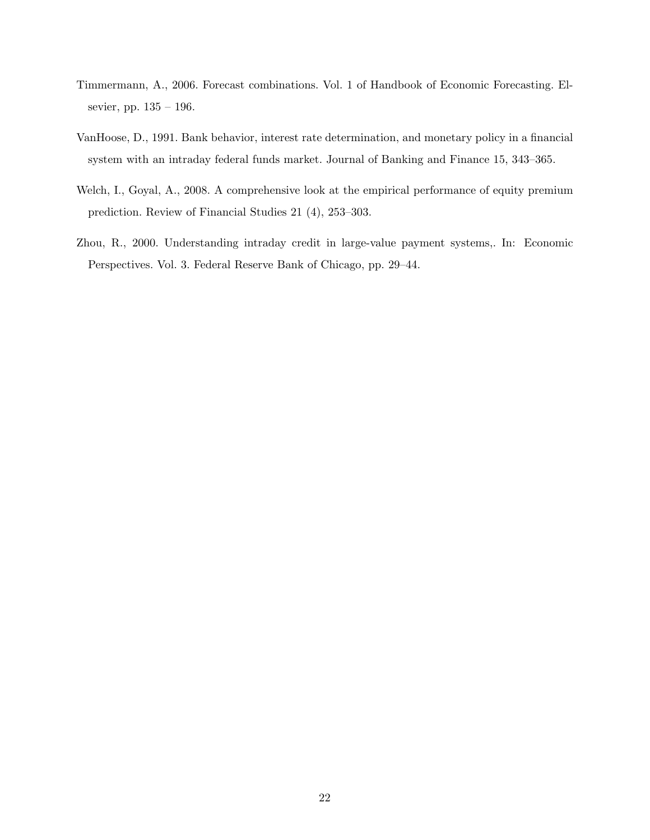- <span id="page-23-2"></span>Timmermann, A., 2006. Forecast combinations. Vol. 1 of Handbook of Economic Forecasting. Elsevier, pp. 135 – 196.
- <span id="page-23-1"></span>VanHoose, D., 1991. Bank behavior, interest rate determination, and monetary policy in a financial system with an intraday federal funds market. Journal of Banking and Finance 15, 343–365.
- <span id="page-23-3"></span>Welch, I., Goyal, A., 2008. A comprehensive look at the empirical performance of equity premium prediction. Review of Financial Studies 21 (4), 253–303.
- <span id="page-23-0"></span>Zhou, R., 2000. Understanding intraday credit in large-value payment systems,. In: Economic Perspectives. Vol. 3. Federal Reserve Bank of Chicago, pp. 29–44.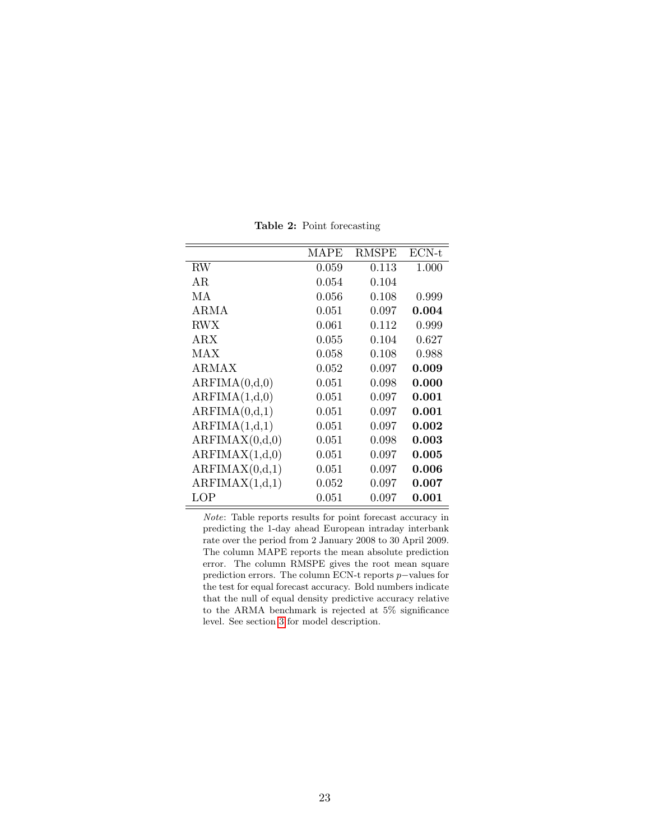<span id="page-24-0"></span>

|                | MAPE  | RMSPE     | $ECN-t$ |
|----------------|-------|-----------|---------|
| RW             | 0.059 | 0.113     | 1.000   |
| ΑR             | 0.054 | 0.104     |         |
| МA             | 0.056 | 0.108     | 0.999   |
| ARMA           | 0.051 | 0.097     | 0.004   |
| <b>RWX</b>     | 0.061 | 0.112     | 0.999   |
| $\rm{ARX}$     | 0.055 | 0.104     | 0.627   |
| MAX            | 0.058 | 0.108     | 0.988   |
| ARMAX          | 0.052 | 0.097     | 0.009   |
| ARFIMA(0,d,0)  | 0.051 | 0.098     | 0.000   |
| ARFIMA(1,d,0)  | 0.051 | 0.097     | 0.001   |
| ARFIMA(0,d,1)  | 0.051 | 0.097     | 0.001   |
| ARFIMA(1,d,1)  | 0.051 | 0.097     | 0.002   |
| ARFIMAX(0,d,0) | 0.051 | 0.098     | 0.003   |
| ARFIMAX(1,d,0) | 0.051 | 0.097     | 0.005   |
| ARFIMAX(0,d,1) | 0.051 | 0.097     | 0.006   |
| ARFIMAX(1,d,1) | 0.052 | 0.097     | 0.007   |
| LOP            | 0.051 | $0.097\,$ | 0.001   |

Table 2: Point forecasting

Note: Table reports results for point forecast accuracy in predicting the 1-day ahead European intraday interbank rate over the period from 2 January 2008 to 30 April 2009. The column MAPE reports the mean absolute prediction error. The column RMSPE gives the root mean square prediction errors. The column ECN-t reports p−values for the test for equal forecast accuracy. Bold numbers indicate that the null of equal density predictive accuracy relative to the ARMA benchmark is rejected at 5% significance level. See section [3](#page-7-0) for model description.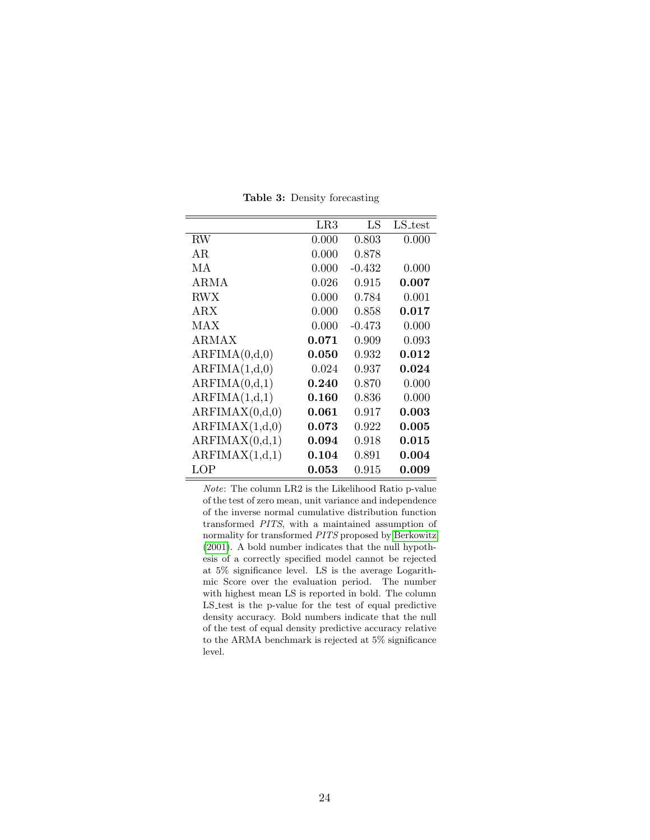<span id="page-25-0"></span>

|                | $_{\rm LR3}$ | LS       | LS_test     |
|----------------|--------------|----------|-------------|
| <b>RW</b>      | 0.000        | 0.803    | 0.000       |
| AR.            | 0.000        | 0.878    |             |
| МA             | 0.000        | $-0.432$ | 0.000       |
| ARMA           | 0.026        | 0.915    | 0.007       |
| RWX            | 0.000        | 0.784    | 0.001       |
| ARX            | 0.000        | 0.858    | 0.017       |
| MAX            | 0.000        | $-0.473$ | 0.000       |
| ARMAX          | 0.071        | 0.909    | 0.093       |
| ARFIMA(0,d,0)  | 0.050        | 0.932    | 0.012       |
| ARFIMA(1,d,0)  | 0.024        | 0.937    | 0.024       |
| ARFIMA(0,d,1)  | 0.240        | 0.870    | 0.000       |
| ARFIMA(1,d,1)  | 0.160        | 0.836    | 0.000       |
| ARFIMAX(0,d,0) | 0.061        | 0.917    | 0.003       |
| ARFIMAX(1,d,0) | 0.073        | 0.922    | 0.005       |
| ARFIMAX(0,d,1) | $\,0.094\,$  | 0.918    | 0.015       |
| ARFIMAX(1,d,1) | $\,0.104\,$  | 0.891    | $\,0.004\,$ |
| LOP            | 0.053        | 0.915    | 0.009       |

Table 3: Density forecasting

Note: The column LR2 is the Likelihood Ratio p-value of the test of zero mean, unit variance and independence of the inverse normal cumulative distribution function transformed PITS, with a maintained assumption of normality for transformed PITS proposed by [Berkowitz](#page-19-9) [\(2001\)](#page-19-9). A bold number indicates that the null hypothesis of a correctly specified model cannot be rejected at 5% significance level. LS is the average Logarithmic Score over the evaluation period. The number with highest mean LS is reported in bold. The column LS<sub>-test</sub> is the p-value for the test of equal predictive density accuracy. Bold numbers indicate that the null of the test of equal density predictive accuracy relative to the ARMA benchmark is rejected at 5% significance level.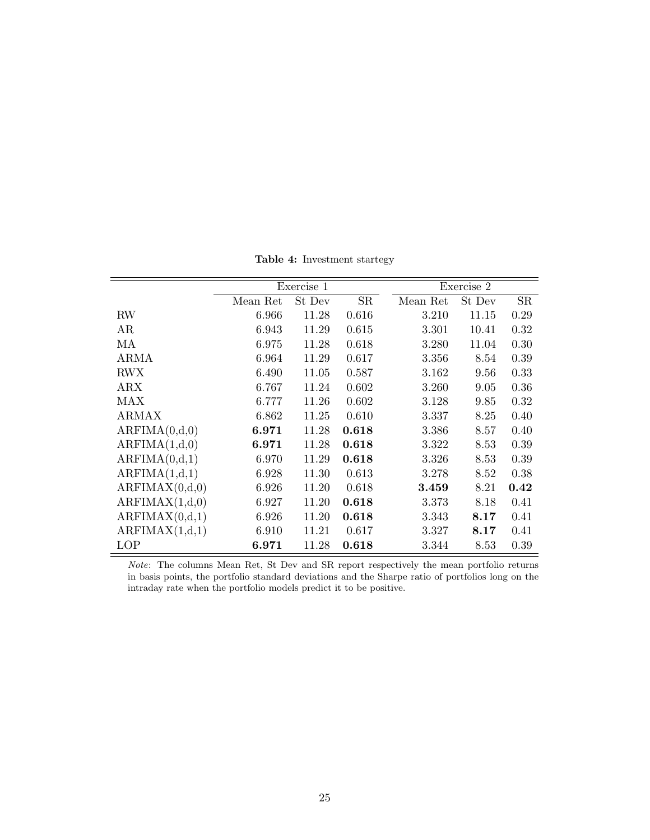Table 4: Investment startegy

<span id="page-26-0"></span>

|                | Exercise 1 |        |       |          | Exercise 2 |      |  |
|----------------|------------|--------|-------|----------|------------|------|--|
|                | Mean Ret   | St Dev | SR    | Mean Ret | St Dev     | SR   |  |
| RW             | 6.966      | 11.28  | 0.616 | 3.210    | 11.15      | 0.29 |  |
| AR             | 6.943      | 11.29  | 0.615 | 3.301    | 10.41      | 0.32 |  |
| МA             | 6.975      | 11.28  | 0.618 | 3.280    | 11.04      | 0.30 |  |
| <b>ARMA</b>    | 6.964      | 11.29  | 0.617 | 3.356    | 8.54       | 0.39 |  |
| <b>RWX</b>     | 6.490      | 11.05  | 0.587 | 3.162    | 9.56       | 0.33 |  |
| ARX            | 6.767      | 11.24  | 0.602 | 3.260    | 9.05       | 0.36 |  |
| <b>MAX</b>     | 6.777      | 11.26  | 0.602 | 3.128    | 9.85       | 0.32 |  |
| <b>ARMAX</b>   | 6.862      | 11.25  | 0.610 | 3.337    | 8.25       | 0.40 |  |
| ARFIMA(0,d,0)  | 6.971      | 11.28  | 0.618 | 3.386    | 8.57       | 0.40 |  |
| ARFIMA(1,d,0)  | 6.971      | 11.28  | 0.618 | 3.322    | 8.53       | 0.39 |  |
| ARFIMA(0,d,1)  | 6.970      | 11.29  | 0.618 | 3.326    | 8.53       | 0.39 |  |
| ARFIMA(1,d,1)  | 6.928      | 11.30  | 0.613 | 3.278    | 8.52       | 0.38 |  |
| ARFIMAX(0,d,0) | 6.926      | 11.20  | 0.618 | 3.459    | 8.21       | 0.42 |  |
| ARFIMAX(1,d,0) | 6.927      | 11.20  | 0.618 | 3.373    | 8.18       | 0.41 |  |
| ARFIMAX(0,d,1) | 6.926      | 11.20  | 0.618 | 3.343    | 8.17       | 0.41 |  |
| ARFIMAX(1,d,1) | 6.910      | 11.21  | 0.617 | 3.327    | 8.17       | 0.41 |  |
| LOP            | 6.971      | 11.28  | 0.618 | 3.344    | 8.53       | 0.39 |  |

Note: The columns Mean Ret, St Dev and SR report respectively the mean portfolio returns in basis points, the portfolio standard deviations and the Sharpe ratio of portfolios long on the intraday rate when the portfolio models predict it to be positive.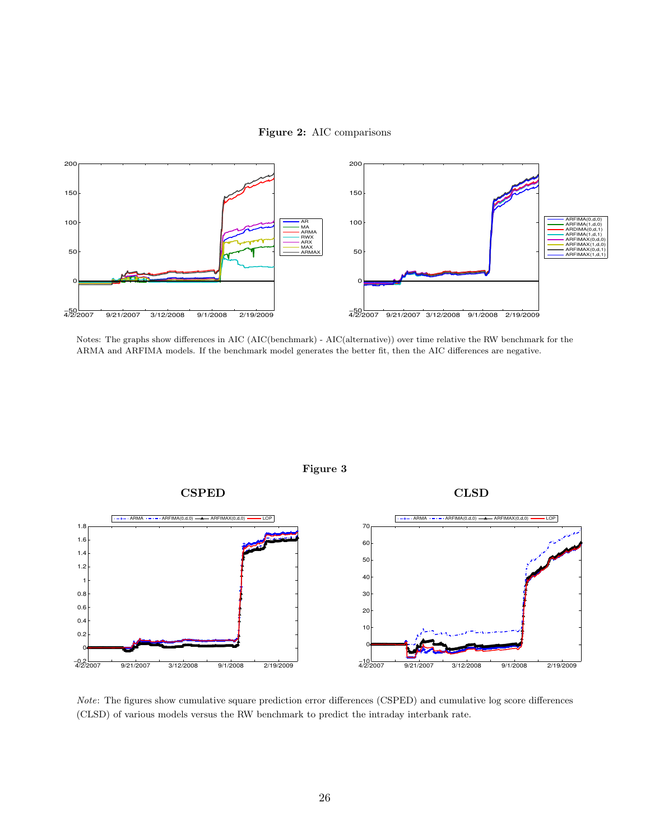Figure 2: AIC comparisons

<span id="page-27-0"></span>

Notes: The graphs show differences in AIC (AIC(benchmark) - AIC(alternative)) over time relative the RW benchmark for the ARMA and ARFIMA models. If the benchmark model generates the better fit, then the AIC differences are negative.

<span id="page-27-1"></span>

Note: The figures show cumulative square prediction error differences (CSPED) and cumulative log score differences (CLSD) of various models versus the RW benchmark to predict the intraday interbank rate.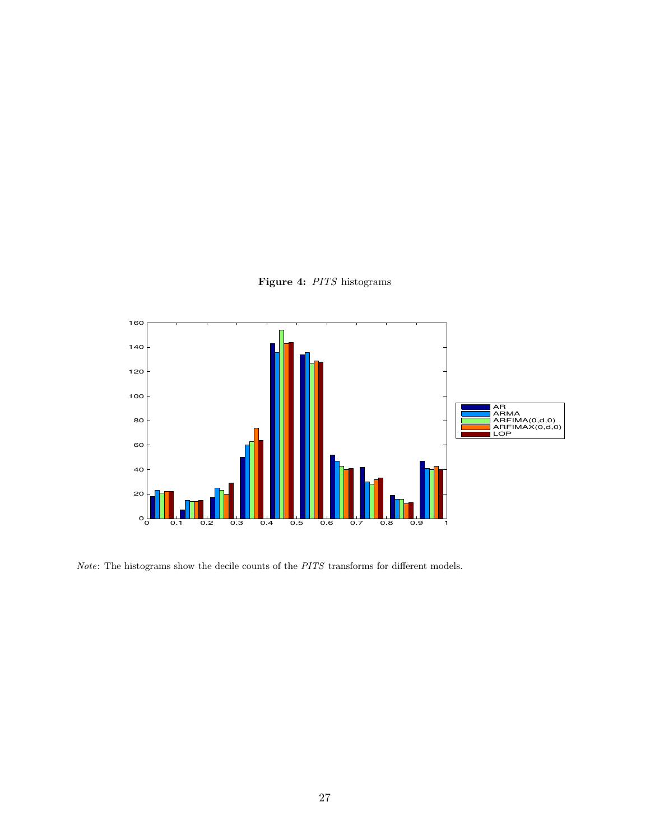

<span id="page-28-0"></span>

 $\emph{Note:}$  The histograms show the decile counts of the  $PITS$  transforms for different models.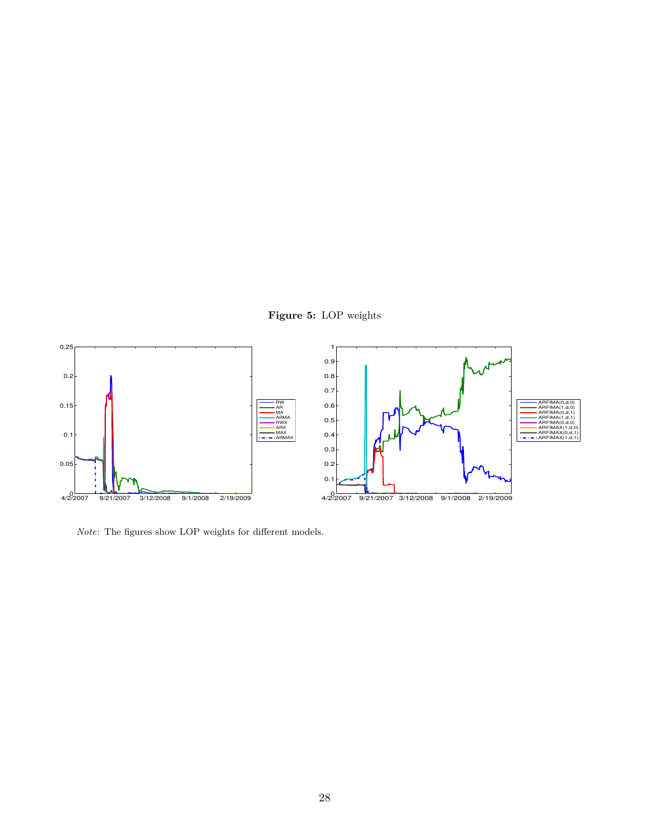

<span id="page-29-0"></span>

 $\emph{Note:}$  The figures show LOP weights for different models.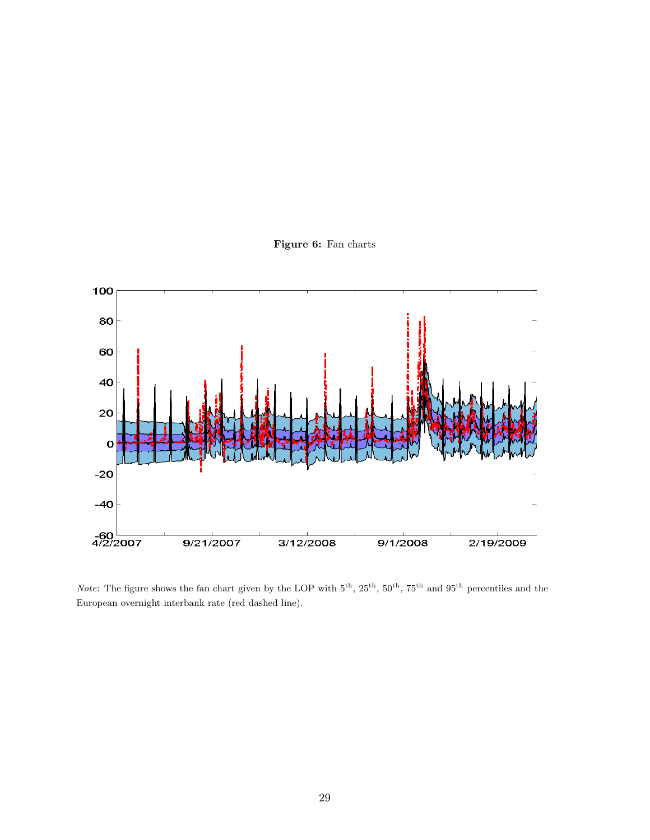

<span id="page-30-0"></span>

Note: The figure shows the fan chart given by the LOP with  $5^{th}$ ,  $25^{th}$ ,  $50^{th}$ ,  $75^{th}$  and  $95^{th}$  percentiles and the European overnight interbank rate (red dashed line).